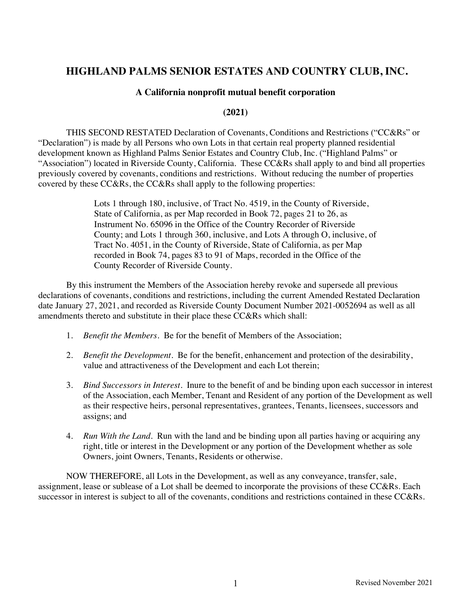# **HIGHLAND PALMS SENIOR ESTATES AND COUNTRY CLUB, INC.**

#### **A California nonprofit mutual benefit corporation**

#### **(2021)**

THIS SECOND RESTATED Declaration of Covenants, Conditions and Restrictions ("CC&Rs" or "Declaration") is made by all Persons who own Lots in that certain real property planned residential development known as Highland Palms Senior Estates and Country Club, Inc. ("Highland Palms" or "Association") located in Riverside County, California. These CC&Rs shall apply to and bind all properties previously covered by covenants, conditions and restrictions. Without reducing the number of properties covered by these CC&Rs, the CC&Rs shall apply to the following properties:

> Lots 1 through 180, inclusive, of Tract No. 4519, in the County of Riverside, State of California, as per Map recorded in Book 72, pages 21 to 26, as Instrument No. 65096 in the Office of the Country Recorder of Riverside County; and Lots 1 through 360, inclusive, and Lots A through O, inclusive, of Tract No. 4051, in the County of Riverside, State of California, as per Map recorded in Book 74, pages 83 to 91 of Maps, recorded in the Office of the County Recorder of Riverside County.

By this instrument the Members of the Association hereby revoke and supersede all previous declarations of covenants, conditions and restrictions, including the current Amended Restated Declaration date January 27, 2021, and recorded as Riverside County Document Number 2021-0052694 as well as all amendments thereto and substitute in their place these CC&Rs which shall:

- 1. *Benefit the Members*. Be for the benefit of Members of the Association;
- 2. *Benefit the Development*. Be for the benefit, enhancement and protection of the desirability, value and attractiveness of the Development and each Lot therein;
- 3. *Bind Successors in Interest*. Inure to the benefit of and be binding upon each successor in interest of the Association, each Member, Tenant and Resident of any portion of the Development as well as their respective heirs, personal representatives, grantees, Tenants, licensees, successors and assigns; and
- 4. *Run With the Land*. Run with the land and be binding upon all parties having or acquiring any right, title or interest in the Development or any portion of the Development whether as sole Owners, joint Owners, Tenants, Residents or otherwise.

NOW THEREFORE, all Lots in the Development, as well as any conveyance, transfer, sale, assignment, lease or sublease of a Lot shall be deemed to incorporate the provisions of these CC&Rs. Each successor in interest is subject to all of the covenants, conditions and restrictions contained in these CC&Rs.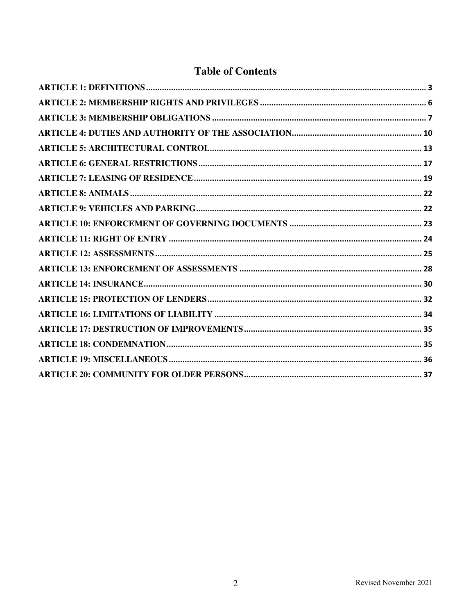# **Table of Contents**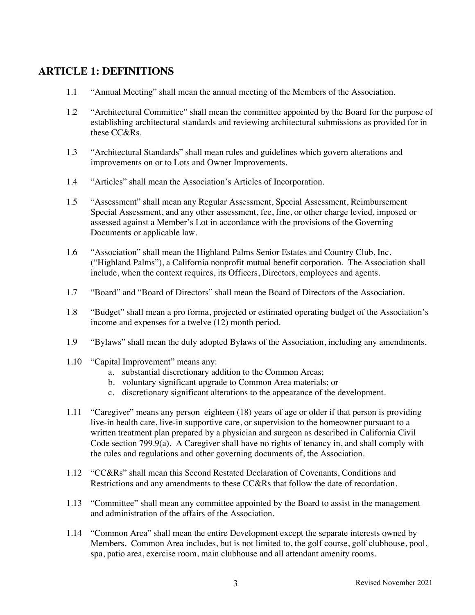# **ARTICLE 1: DEFINITIONS**

- 1.1 "Annual Meeting" shall mean the annual meeting of the Members of the Association.
- 1.2 "Architectural Committee" shall mean the committee appointed by the Board for the purpose of establishing architectural standards and reviewing architectural submissions as provided for in these CC&Rs.
- 1.3 "Architectural Standards" shall mean rules and guidelines which govern alterations and improvements on or to Lots and Owner Improvements.
- 1.4 "Articles" shall mean the Association's Articles of Incorporation.
- 1.5 "Assessment" shall mean any Regular Assessment, Special Assessment, Reimbursement Special Assessment, and any other assessment, fee, fine, or other charge levied, imposed or assessed against a Member's Lot in accordance with the provisions of the Governing Documents or applicable law.
- 1.6 "Association" shall mean the Highland Palms Senior Estates and Country Club, Inc. ("Highland Palms"), a California nonprofit mutual benefit corporation. The Association shall include, when the context requires, its Officers, Directors, employees and agents.
- 1.7 "Board" and "Board of Directors" shall mean the Board of Directors of the Association.
- 1.8 "Budget" shall mean a pro forma, projected or estimated operating budget of the Association's income and expenses for a twelve (12) month period.
- 1.9 "Bylaws" shall mean the duly adopted Bylaws of the Association, including any amendments.
- 1.10 "Capital Improvement" means any:
	- a. substantial discretionary addition to the Common Areas;
	- b. voluntary significant upgrade to Common Area materials; or
	- c. discretionary significant alterations to the appearance of the development.
- 1.11 "Caregiver" means any person eighteen (18) years of age or older if that person is providing live-in health care, live-in supportive care, or supervision to the homeowner pursuant to a written treatment plan prepared by a physician and surgeon as described in California Civil Code section 799.9(a). A Caregiver shall have no rights of tenancy in, and shall comply with the rules and regulations and other governing documents of, the Association.
- 1.12 "CC&Rs" shall mean this Second Restated Declaration of Covenants, Conditions and Restrictions and any amendments to these CC&Rs that follow the date of recordation.
- 1.13 "Committee" shall mean any committee appointed by the Board to assist in the management and administration of the affairs of the Association.
- 1.14 "Common Area" shall mean the entire Development except the separate interests owned by Members. Common Area includes, but is not limited to, the golf course, golf clubhouse, pool, spa, patio area, exercise room, main clubhouse and all attendant amenity rooms.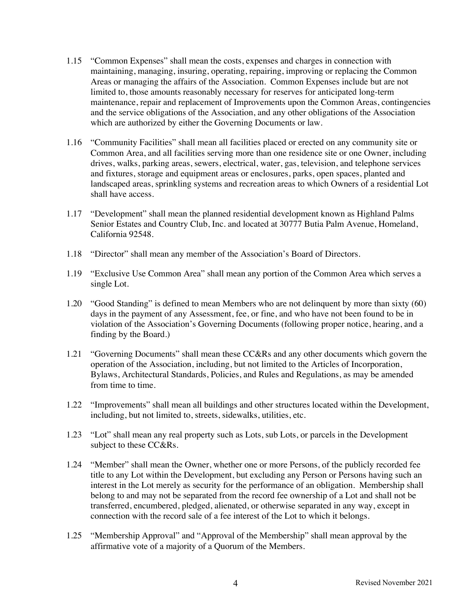- 1.15 "Common Expenses" shall mean the costs, expenses and charges in connection with maintaining, managing, insuring, operating, repairing, improving or replacing the Common Areas or managing the affairs of the Association. Common Expenses include but are not limited to, those amounts reasonably necessary for reserves for anticipated long-term maintenance, repair and replacement of Improvements upon the Common Areas, contingencies and the service obligations of the Association, and any other obligations of the Association which are authorized by either the Governing Documents or law.
- 1.16 "Community Facilities" shall mean all facilities placed or erected on any community site or Common Area, and all facilities serving more than one residence site or one Owner, including drives, walks, parking areas, sewers, electrical, water, gas, television, and telephone services and fixtures, storage and equipment areas or enclosures, parks, open spaces, planted and landscaped areas, sprinkling systems and recreation areas to which Owners of a residential Lot shall have access.
- 1.17 "Development" shall mean the planned residential development known as Highland Palms Senior Estates and Country Club, Inc. and located at 30777 Butia Palm Avenue, Homeland, California 92548.
- 1.18 "Director" shall mean any member of the Association's Board of Directors.
- 1.19 "Exclusive Use Common Area" shall mean any portion of the Common Area which serves a single Lot.
- 1.20 "Good Standing" is defined to mean Members who are not delinquent by more than sixty (60) days in the payment of any Assessment, fee, or fine, and who have not been found to be in violation of the Association's Governing Documents (following proper notice, hearing, and a finding by the Board.)
- 1.21 "Governing Documents" shall mean these CC&Rs and any other documents which govern the operation of the Association, including, but not limited to the Articles of Incorporation, Bylaws, Architectural Standards, Policies, and Rules and Regulations, as may be amended from time to time.
- 1.22 "Improvements" shall mean all buildings and other structures located within the Development, including, but not limited to, streets, sidewalks, utilities, etc.
- 1.23 "Lot" shall mean any real property such as Lots, sub Lots, or parcels in the Development subject to these CC&Rs.
- 1.24 "Member" shall mean the Owner, whether one or more Persons, of the publicly recorded fee title to any Lot within the Development, but excluding any Person or Persons having such an interest in the Lot merely as security for the performance of an obligation. Membership shall belong to and may not be separated from the record fee ownership of a Lot and shall not be transferred, encumbered, pledged, alienated, or otherwise separated in any way, except in connection with the record sale of a fee interest of the Lot to which it belongs.
- 1.25 "Membership Approval" and "Approval of the Membership" shall mean approval by the affirmative vote of a majority of a Quorum of the Members.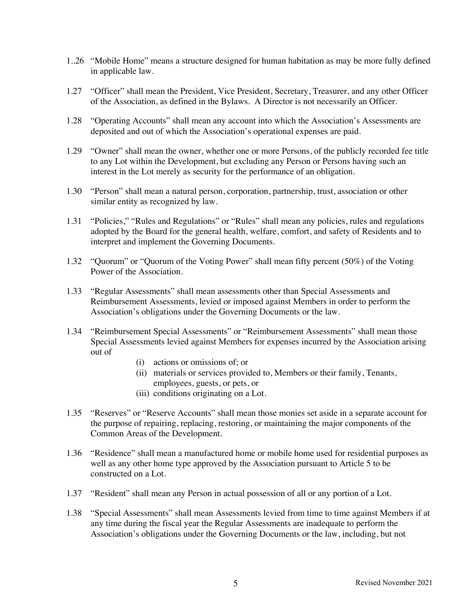- 1..26 "Mobile Home" means a structure designed for human habitation as may be more fully defined in applicable law.
- 1.27 "Officer" shall mean the President, Vice President, Secretary, Treasurer, and any other Officer of the Association, as defined in the Bylaws. A Director is not necessarily an Officer.
- 1.28 "Operating Accounts" shall mean any account into which the Association's Assessments are deposited and out of which the Association's operational expenses are paid.
- 1.29 "Owner" shall mean the owner, whether one or more Persons, of the publicly recorded fee title to any Lot within the Development, but excluding any Person or Persons having such an interest in the Lot merely as security for the performance of an obligation.
- 1.30 "Person" shall mean a natural person, corporation, partnership, trust, association or other similar entity as recognized by law.
- 1.31 "Policies," "Rules and Regulations" or "Rules" shall mean any policies, rules and regulations adopted by the Board for the general health, welfare, comfort, and safety of Residents and to interpret and implement the Governing Documents.
- 1.32 "Quorum" or "Quorum of the Voting Power" shall mean fifty percent (50%) of the Voting Power of the Association.
- 1.33 "Regular Assessments" shall mean assessments other than Special Assessments and Reimbursement Assessments, levied or imposed against Members in order to perform the Association's obligations under the Governing Documents or the law.
- 1.34 "Reimbursement Special Assessments" or "Reimbursement Assessments" shall mean those Special Assessments levied against Members for expenses incurred by the Association arising out of
	- (i) actions or omissions of; or
	- (ii) materials or services provided to, Members or their family, Tenants, employees, guests, or pets, or
	- (iii) conditions originating on a Lot.
- 1.35 "Reserves" or "Reserve Accounts" shall mean those monies set aside in a separate account for the purpose of repairing, replacing, restoring, or maintaining the major components of the Common Areas of the Development.
- 1.36 "Residence" shall mean a manufactured home or mobile home used for residential purposes as well as any other home type approved by the Association pursuant to Article 5 to be constructed on a Lot.
- 1.37 "Resident" shall mean any Person in actual possession of all or any portion of a Lot.
- 1.38 "Special Assessments" shall mean Assessments levied from time to time against Members if at any time during the fiscal year the Regular Assessments are inadequate to perform the Association's obligations under the Governing Documents or the law, including, but not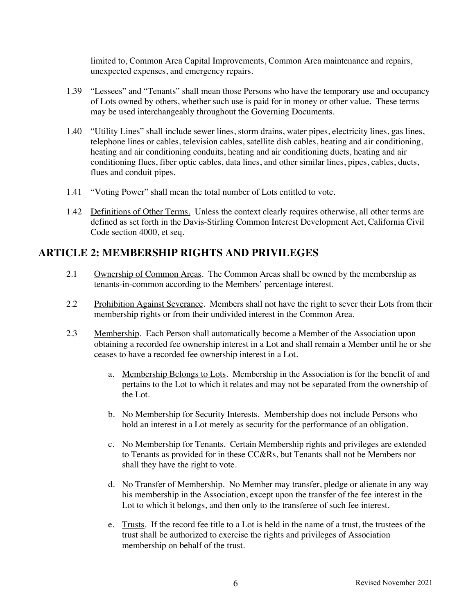limited to, Common Area Capital Improvements, Common Area maintenance and repairs, unexpected expenses, and emergency repairs.

- 1.39 "Lessees" and "Tenants" shall mean those Persons who have the temporary use and occupancy of Lots owned by others, whether such use is paid for in money or other value. These terms may be used interchangeably throughout the Governing Documents.
- 1.40 "Utility Lines" shall include sewer lines, storm drains, water pipes, electricity lines, gas lines, telephone lines or cables, television cables, satellite dish cables, heating and air conditioning, heating and air conditioning conduits, heating and air conditioning ducts, heating and air conditioning flues, fiber optic cables, data lines, and other similar lines, pipes, cables, ducts, flues and conduit pipes.
- 1.41 "Voting Power" shall mean the total number of Lots entitled to vote.
- 1.42 Definitions of Other Terms. Unless the context clearly requires otherwise, all other terms are defined as set forth in the Davis-Stirling Common Interest Development Act, California Civil Code section 4000, et seq.

# **ARTICLE 2: MEMBERSHIP RIGHTS AND PRIVILEGES**

- 2.1 Ownership of Common Areas. The Common Areas shall be owned by the membership as tenants-in-common according to the Members' percentage interest.
- 2.2 Prohibition Against Severance. Members shall not have the right to sever their Lots from their membership rights or from their undivided interest in the Common Area.
- 2.3 Membership. Each Person shall automatically become a Member of the Association upon obtaining a recorded fee ownership interest in a Lot and shall remain a Member until he or she ceases to have a recorded fee ownership interest in a Lot.
	- a. Membership Belongs to Lots. Membership in the Association is for the benefit of and pertains to the Lot to which it relates and may not be separated from the ownership of the Lot.
	- b. No Membership for Security Interests. Membership does not include Persons who hold an interest in a Lot merely as security for the performance of an obligation.
	- c. No Membership for Tenants. Certain Membership rights and privileges are extended to Tenants as provided for in these CC&Rs, but Tenants shall not be Members nor shall they have the right to vote.
	- d. No Transfer of Membership. No Member may transfer, pledge or alienate in any way his membership in the Association, except upon the transfer of the fee interest in the Lot to which it belongs, and then only to the transferee of such fee interest.
	- e. Trusts. If the record fee title to a Lot is held in the name of a trust, the trustees of the trust shall be authorized to exercise the rights and privileges of Association membership on behalf of the trust.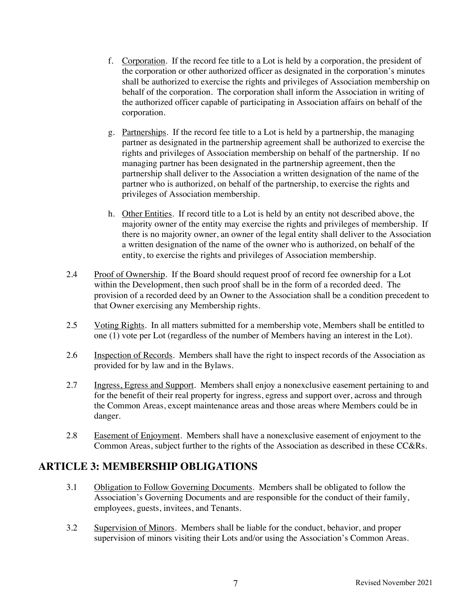- f. Corporation. If the record fee title to a Lot is held by a corporation, the president of the corporation or other authorized officer as designated in the corporation's minutes shall be authorized to exercise the rights and privileges of Association membership on behalf of the corporation. The corporation shall inform the Association in writing of the authorized officer capable of participating in Association affairs on behalf of the corporation.
- g. Partnerships. If the record fee title to a Lot is held by a partnership, the managing partner as designated in the partnership agreement shall be authorized to exercise the rights and privileges of Association membership on behalf of the partnership. If no managing partner has been designated in the partnership agreement, then the partnership shall deliver to the Association a written designation of the name of the partner who is authorized, on behalf of the partnership, to exercise the rights and privileges of Association membership.
- h. Other Entities. If record title to a Lot is held by an entity not described above, the majority owner of the entity may exercise the rights and privileges of membership. If there is no majority owner, an owner of the legal entity shall deliver to the Association a written designation of the name of the owner who is authorized, on behalf of the entity, to exercise the rights and privileges of Association membership.
- 2.4 Proof of Ownership. If the Board should request proof of record fee ownership for a Lot within the Development, then such proof shall be in the form of a recorded deed. The provision of a recorded deed by an Owner to the Association shall be a condition precedent to that Owner exercising any Membership rights.
- 2.5 Voting Rights. In all matters submitted for a membership vote, Members shall be entitled to one (1) vote per Lot (regardless of the number of Members having an interest in the Lot).
- 2.6 Inspection of Records. Members shall have the right to inspect records of the Association as provided for by law and in the Bylaws.
- 2.7 Ingress, Egress and Support. Members shall enjoy a nonexclusive easement pertaining to and for the benefit of their real property for ingress, egress and support over, across and through the Common Areas, except maintenance areas and those areas where Members could be in danger.
- 2.8 Easement of Enjoyment. Members shall have a nonexclusive easement of enjoyment to the Common Areas, subject further to the rights of the Association as described in these CC&Rs.

# **ARTICLE 3: MEMBERSHIP OBLIGATIONS**

- 3.1 Obligation to Follow Governing Documents. Members shall be obligated to follow the Association's Governing Documents and are responsible for the conduct of their family, employees, guests, invitees, and Tenants.
- 3.2 Supervision of Minors. Members shall be liable for the conduct, behavior, and proper supervision of minors visiting their Lots and/or using the Association's Common Areas.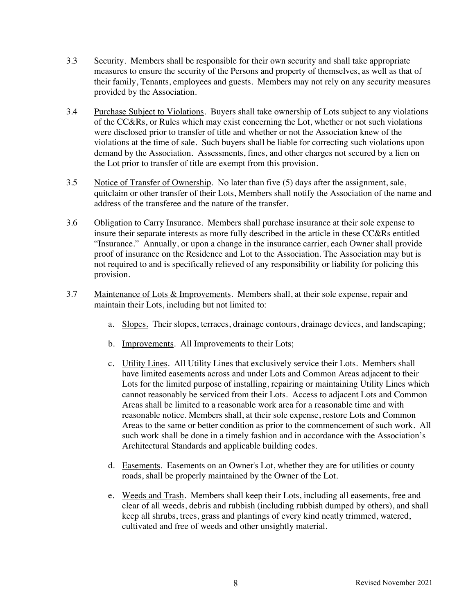- 3.3 Security. Members shall be responsible for their own security and shall take appropriate measures to ensure the security of the Persons and property of themselves, as well as that of their family, Tenants, employees and guests. Members may not rely on any security measures provided by the Association.
- 3.4 Purchase Subject to Violations. Buyers shall take ownership of Lots subject to any violations of the CC&Rs, or Rules which may exist concerning the Lot, whether or not such violations were disclosed prior to transfer of title and whether or not the Association knew of the violations at the time of sale. Such buyers shall be liable for correcting such violations upon demand by the Association. Assessments, fines, and other charges not secured by a lien on the Lot prior to transfer of title are exempt from this provision.
- 3.5 Notice of Transfer of Ownership. No later than five (5) days after the assignment, sale, quitclaim or other transfer of their Lots, Members shall notify the Association of the name and address of the transferee and the nature of the transfer.
- 3.6 Obligation to Carry Insurance. Members shall purchase insurance at their sole expense to insure their separate interests as more fully described in the article in these CC&Rs entitled "Insurance." Annually, or upon a change in the insurance carrier, each Owner shall provide proof of insurance on the Residence and Lot to the Association. The Association may but is not required to and is specifically relieved of any responsibility or liability for policing this provision.
- 3.7 Maintenance of Lots & Improvements. Members shall, at their sole expense, repair and maintain their Lots, including but not limited to:
	- a. Slopes. Their slopes, terraces, drainage contours, drainage devices, and landscaping;
	- b. Improvements. All Improvements to their Lots;
	- c. Utility Lines. All Utility Lines that exclusively service their Lots. Members shall have limited easements across and under Lots and Common Areas adjacent to their Lots for the limited purpose of installing, repairing or maintaining Utility Lines which cannot reasonably be serviced from their Lots. Access to adjacent Lots and Common Areas shall be limited to a reasonable work area for a reasonable time and with reasonable notice. Members shall, at their sole expense, restore Lots and Common Areas to the same or better condition as prior to the commencement of such work. All such work shall be done in a timely fashion and in accordance with the Association's Architectural Standards and applicable building codes.
	- d. Easements. Easements on an Owner's Lot, whether they are for utilities or county roads, shall be properly maintained by the Owner of the Lot.
	- e. Weeds and Trash. Members shall keep their Lots, including all easements, free and clear of all weeds, debris and rubbish (including rubbish dumped by others), and shall keep all shrubs, trees, grass and plantings of every kind neatly trimmed, watered, cultivated and free of weeds and other unsightly material.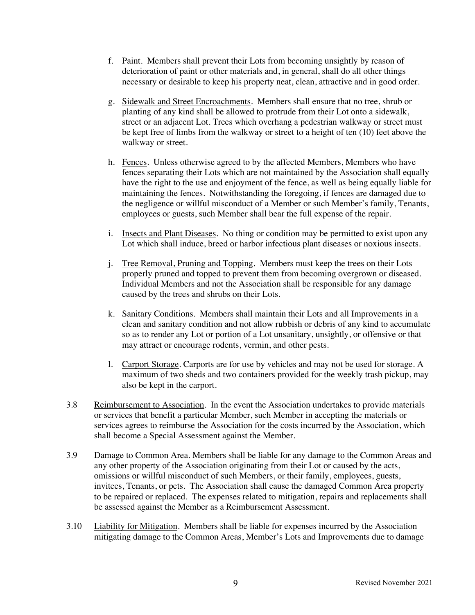- f. Paint. Members shall prevent their Lots from becoming unsightly by reason of deterioration of paint or other materials and, in general, shall do all other things necessary or desirable to keep his property neat, clean, attractive and in good order.
- g. Sidewalk and Street Encroachments. Members shall ensure that no tree, shrub or planting of any kind shall be allowed to protrude from their Lot onto a sidewalk, street or an adjacent Lot. Trees which overhang a pedestrian walkway or street must be kept free of limbs from the walkway or street to a height of ten (10) feet above the walkway or street.
- h. Fences. Unless otherwise agreed to by the affected Members, Members who have fences separating their Lots which are not maintained by the Association shall equally have the right to the use and enjoyment of the fence, as well as being equally liable for maintaining the fences. Notwithstanding the foregoing, if fences are damaged due to the negligence or willful misconduct of a Member or such Member's family, Tenants, employees or guests, such Member shall bear the full expense of the repair.
- i. Insects and Plant Diseases. No thing or condition may be permitted to exist upon any Lot which shall induce, breed or harbor infectious plant diseases or noxious insects.
- j. Tree Removal, Pruning and Topping. Members must keep the trees on their Lots properly pruned and topped to prevent them from becoming overgrown or diseased. Individual Members and not the Association shall be responsible for any damage caused by the trees and shrubs on their Lots.
- k. Sanitary Conditions. Members shall maintain their Lots and all Improvements in a clean and sanitary condition and not allow rubbish or debris of any kind to accumulate so as to render any Lot or portion of a Lot unsanitary, unsightly, or offensive or that may attract or encourage rodents, vermin, and other pests.
- l. Carport Storage. Carports are for use by vehicles and may not be used for storage. A maximum of two sheds and two containers provided for the weekly trash pickup, may also be kept in the carport.
- 3.8 Reimbursement to Association. In the event the Association undertakes to provide materials or services that benefit a particular Member, such Member in accepting the materials or services agrees to reimburse the Association for the costs incurred by the Association, which shall become a Special Assessment against the Member.
- 3.9 Damage to Common Area. Members shall be liable for any damage to the Common Areas and any other property of the Association originating from their Lot or caused by the acts, omissions or willful misconduct of such Members, or their family, employees, guests, invitees, Tenants, or pets. The Association shall cause the damaged Common Area property to be repaired or replaced. The expenses related to mitigation, repairs and replacements shall be assessed against the Member as a Reimbursement Assessment.
- 3.10 Liability for Mitigation. Members shall be liable for expenses incurred by the Association mitigating damage to the Common Areas, Member's Lots and Improvements due to damage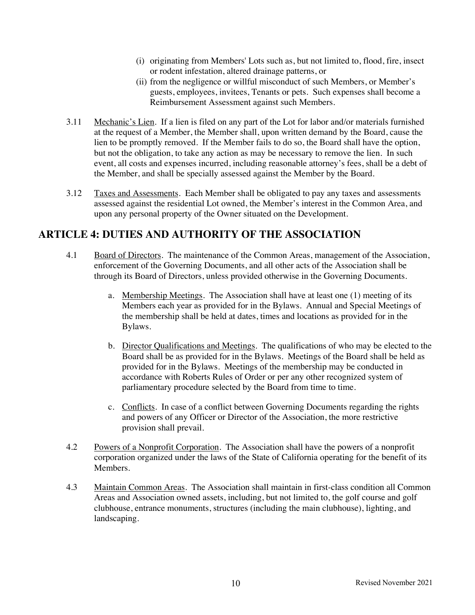- (i) originating from Members' Lots such as, but not limited to, flood, fire, insect or rodent infestation, altered drainage patterns, or
- (ii) from the negligence or willful misconduct of such Members, or Member's guests, employees, invitees, Tenants or pets. Such expenses shall become a Reimbursement Assessment against such Members.
- 3.11 Mechanic's Lien. If a lien is filed on any part of the Lot for labor and/or materials furnished at the request of a Member, the Member shall, upon written demand by the Board, cause the lien to be promptly removed. If the Member fails to do so, the Board shall have the option, but not the obligation, to take any action as may be necessary to remove the lien. In such event, all costs and expenses incurred, including reasonable attorney's fees, shall be a debt of the Member, and shall be specially assessed against the Member by the Board.
- 3.12 Taxes and Assessments. Each Member shall be obligated to pay any taxes and assessments assessed against the residential Lot owned, the Member's interest in the Common Area, and upon any personal property of the Owner situated on the Development.

# **ARTICLE 4: DUTIES AND AUTHORITY OF THE ASSOCIATION**

- 4.1 Board of Directors. The maintenance of the Common Areas, management of the Association, enforcement of the Governing Documents, and all other acts of the Association shall be through its Board of Directors, unless provided otherwise in the Governing Documents.
	- a. Membership Meetings. The Association shall have at least one (1) meeting of its Members each year as provided for in the Bylaws. Annual and Special Meetings of the membership shall be held at dates, times and locations as provided for in the Bylaws.
	- b. Director Qualifications and Meetings. The qualifications of who may be elected to the Board shall be as provided for in the Bylaws. Meetings of the Board shall be held as provided for in the Bylaws. Meetings of the membership may be conducted in accordance with Roberts Rules of Order or per any other recognized system of parliamentary procedure selected by the Board from time to time.
	- c. Conflicts. In case of a conflict between Governing Documents regarding the rights and powers of any Officer or Director of the Association, the more restrictive provision shall prevail.
- 4.2 Powers of a Nonprofit Corporation. The Association shall have the powers of a nonprofit corporation organized under the laws of the State of California operating for the benefit of its Members.
- 4.3 Maintain Common Areas. The Association shall maintain in first-class condition all Common Areas and Association owned assets, including, but not limited to, the golf course and golf clubhouse, entrance monuments, structures (including the main clubhouse), lighting, and landscaping.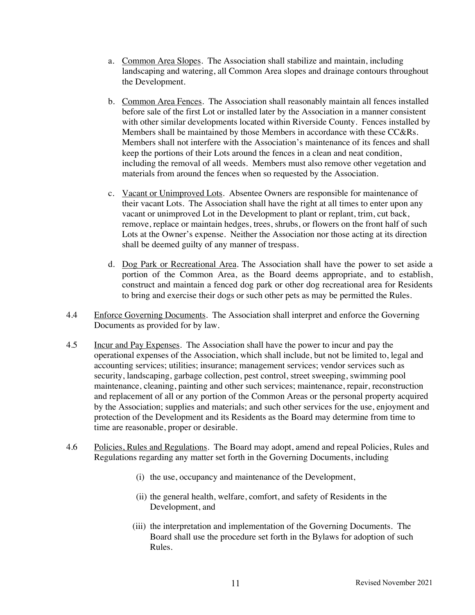- a. Common Area Slopes. The Association shall stabilize and maintain, including landscaping and watering, all Common Area slopes and drainage contours throughout the Development.
- b. Common Area Fences. The Association shall reasonably maintain all fences installed before sale of the first Lot or installed later by the Association in a manner consistent with other similar developments located within Riverside County. Fences installed by Members shall be maintained by those Members in accordance with these CC&Rs. Members shall not interfere with the Association's maintenance of its fences and shall keep the portions of their Lots around the fences in a clean and neat condition, including the removal of all weeds. Members must also remove other vegetation and materials from around the fences when so requested by the Association.
- c. Vacant or Unimproved Lots. Absentee Owners are responsible for maintenance of their vacant Lots. The Association shall have the right at all times to enter upon any vacant or unimproved Lot in the Development to plant or replant, trim, cut back, remove, replace or maintain hedges, trees, shrubs, or flowers on the front half of such Lots at the Owner's expense. Neither the Association nor those acting at its direction shall be deemed guilty of any manner of trespass.
- d. Dog Park or Recreational Area. The Association shall have the power to set aside a portion of the Common Area, as the Board deems appropriate, and to establish, construct and maintain a fenced dog park or other dog recreational area for Residents to bring and exercise their dogs or such other pets as may be permitted the Rules.
- 4.4 Enforce Governing Documents. The Association shall interpret and enforce the Governing Documents as provided for by law.
- 4.5 Incur and Pay Expenses. The Association shall have the power to incur and pay the operational expenses of the Association, which shall include, but not be limited to, legal and accounting services; utilities; insurance; management services; vendor services such as security, landscaping, garbage collection, pest control, street sweeping, swimming pool maintenance, cleaning, painting and other such services; maintenance, repair, reconstruction and replacement of all or any portion of the Common Areas or the personal property acquired by the Association; supplies and materials; and such other services for the use, enjoyment and protection of the Development and its Residents as the Board may determine from time to time are reasonable, proper or desirable.
- 4.6 Policies, Rules and Regulations. The Board may adopt, amend and repeal Policies, Rules and Regulations regarding any matter set forth in the Governing Documents, including
	- (i) the use, occupancy and maintenance of the Development,
	- (ii) the general health, welfare, comfort, and safety of Residents in the Development, and
	- (iii) the interpretation and implementation of the Governing Documents. The Board shall use the procedure set forth in the Bylaws for adoption of such Rules.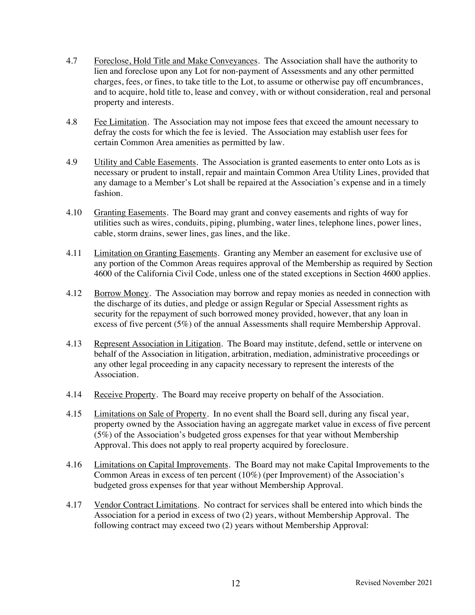- 4.7 Foreclose, Hold Title and Make Conveyances. The Association shall have the authority to lien and foreclose upon any Lot for non-payment of Assessments and any other permitted charges, fees, or fines, to take title to the Lot, to assume or otherwise pay off encumbrances, and to acquire, hold title to, lease and convey, with or without consideration, real and personal property and interests.
- 4.8 Fee Limitation. The Association may not impose fees that exceed the amount necessary to defray the costs for which the fee is levied. The Association may establish user fees for certain Common Area amenities as permitted by law.
- 4.9 Utility and Cable Easements. The Association is granted easements to enter onto Lots as is necessary or prudent to install, repair and maintain Common Area Utility Lines, provided that any damage to a Member's Lot shall be repaired at the Association's expense and in a timely fashion.
- 4.10 Granting Easements. The Board may grant and convey easements and rights of way for utilities such as wires, conduits, piping, plumbing, water lines, telephone lines, power lines, cable, storm drains, sewer lines, gas lines, and the like.
- 4.11 Limitation on Granting Easements. Granting any Member an easement for exclusive use of any portion of the Common Areas requires approval of the Membership as required by Section 4600 of the California Civil Code, unless one of the stated exceptions in Section 4600 applies.
- 4.12 Borrow Money. The Association may borrow and repay monies as needed in connection with the discharge of its duties, and pledge or assign Regular or Special Assessment rights as security for the repayment of such borrowed money provided, however, that any loan in excess of five percent (5%) of the annual Assessments shall require Membership Approval.
- 4.13 Represent Association in Litigation. The Board may institute, defend, settle or intervene on behalf of the Association in litigation, arbitration, mediation, administrative proceedings or any other legal proceeding in any capacity necessary to represent the interests of the Association.
- 4.14 Receive Property. The Board may receive property on behalf of the Association.
- 4.15 Limitations on Sale of Property. In no event shall the Board sell, during any fiscal year, property owned by the Association having an aggregate market value in excess of five percent (5%) of the Association's budgeted gross expenses for that year without Membership Approval. This does not apply to real property acquired by foreclosure.
- 4.16 Limitations on Capital Improvements. The Board may not make Capital Improvements to the Common Areas in excess of ten percent (10%) (per Improvement) of the Association's budgeted gross expenses for that year without Membership Approval.
- 4.17 Vendor Contract Limitations. No contract for services shall be entered into which binds the Association for a period in excess of two (2) years, without Membership Approval. The following contract may exceed two (2) years without Membership Approval: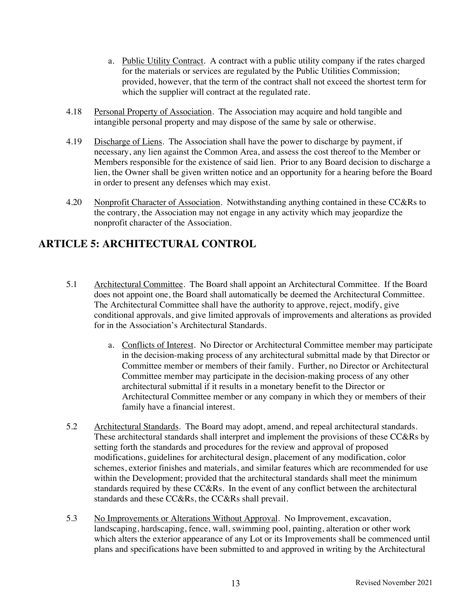- a. Public Utility Contract. A contract with a public utility company if the rates charged for the materials or services are regulated by the Public Utilities Commission; provided, however, that the term of the contract shall not exceed the shortest term for which the supplier will contract at the regulated rate.
- 4.18 Personal Property of Association. The Association may acquire and hold tangible and intangible personal property and may dispose of the same by sale or otherwise.
- 4.19 Discharge of Liens. The Association shall have the power to discharge by payment, if necessary, any lien against the Common Area, and assess the cost thereof to the Member or Members responsible for the existence of said lien. Prior to any Board decision to discharge a lien, the Owner shall be given written notice and an opportunity for a hearing before the Board in order to present any defenses which may exist.
- 4.20 Nonprofit Character of Association. Notwithstanding anything contained in these CC&Rs to the contrary, the Association may not engage in any activity which may jeopardize the nonprofit character of the Association.

# **ARTICLE 5: ARCHITECTURAL CONTROL**

- 5.1 Architectural Committee. The Board shall appoint an Architectural Committee. If the Board does not appoint one, the Board shall automatically be deemed the Architectural Committee. The Architectural Committee shall have the authority to approve, reject, modify, give conditional approvals, and give limited approvals of improvements and alterations as provided for in the Association's Architectural Standards.
	- a. Conflicts of Interest. No Director or Architectural Committee member may participate in the decision-making process of any architectural submittal made by that Director or Committee member or members of their family. Further, no Director or Architectural Committee member may participate in the decision-making process of any other architectural submittal if it results in a monetary benefit to the Director or Architectural Committee member or any company in which they or members of their family have a financial interest.
- 5.2 Architectural Standards. The Board may adopt, amend, and repeal architectural standards. These architectural standards shall interpret and implement the provisions of these CC&Rs by setting forth the standards and procedures for the review and approval of proposed modifications, guidelines for architectural design, placement of any modification, color schemes, exterior finishes and materials, and similar features which are recommended for use within the Development; provided that the architectural standards shall meet the minimum standards required by these CC&Rs. In the event of any conflict between the architectural standards and these CC&Rs, the CC&Rs shall prevail.
- 5.3 No Improvements or Alterations Without Approval. No Improvement, excavation, landscaping, hardscaping, fence, wall, swimming pool, painting, alteration or other work which alters the exterior appearance of any Lot or its Improvements shall be commenced until plans and specifications have been submitted to and approved in writing by the Architectural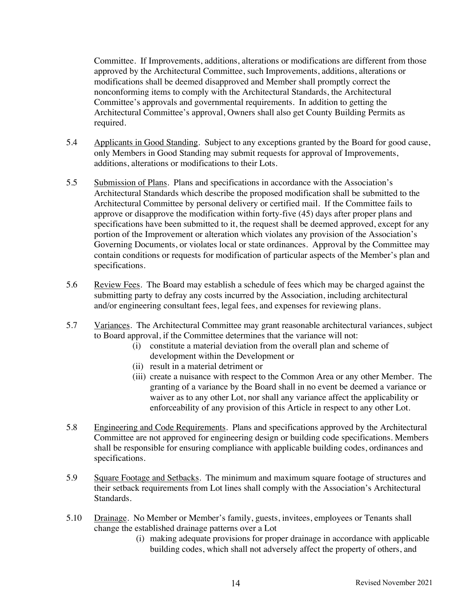Committee. If Improvements, additions, alterations or modifications are different from those approved by the Architectural Committee, such Improvements, additions, alterations or modifications shall be deemed disapproved and Member shall promptly correct the nonconforming items to comply with the Architectural Standards, the Architectural Committee's approvals and governmental requirements. In addition to getting the Architectural Committee's approval, Owners shall also get County Building Permits as required.

- 5.4 Applicants in Good Standing. Subject to any exceptions granted by the Board for good cause, only Members in Good Standing may submit requests for approval of Improvements, additions, alterations or modifications to their Lots.
- 5.5 Submission of Plans. Plans and specifications in accordance with the Association's Architectural Standards which describe the proposed modification shall be submitted to the Architectural Committee by personal delivery or certified mail. If the Committee fails to approve or disapprove the modification within forty-five (45) days after proper plans and specifications have been submitted to it, the request shall be deemed approved, except for any portion of the Improvement or alteration which violates any provision of the Association's Governing Documents, or violates local or state ordinances. Approval by the Committee may contain conditions or requests for modification of particular aspects of the Member's plan and specifications.
- 5.6 Review Fees. The Board may establish a schedule of fees which may be charged against the submitting party to defray any costs incurred by the Association, including architectural and/or engineering consultant fees, legal fees, and expenses for reviewing plans.
- 5.7 Variances. The Architectural Committee may grant reasonable architectural variances, subject to Board approval, if the Committee determines that the variance will not:
	- (i) constitute a material deviation from the overall plan and scheme of development within the Development or
	- (ii) result in a material detriment or
	- (iii) create a nuisance with respect to the Common Area or any other Member. The granting of a variance by the Board shall in no event be deemed a variance or waiver as to any other Lot, nor shall any variance affect the applicability or enforceability of any provision of this Article in respect to any other Lot.
- 5.8 Engineering and Code Requirements. Plans and specifications approved by the Architectural Committee are not approved for engineering design or building code specifications. Members shall be responsible for ensuring compliance with applicable building codes, ordinances and specifications.
- 5.9 Square Footage and Setbacks. The minimum and maximum square footage of structures and their setback requirements from Lot lines shall comply with the Association's Architectural Standards.
- 5.10 Drainage. No Member or Member's family, guests, invitees, employees or Tenants shall change the established drainage patterns over a Lot
	- (i) making adequate provisions for proper drainage in accordance with applicable building codes, which shall not adversely affect the property of others, and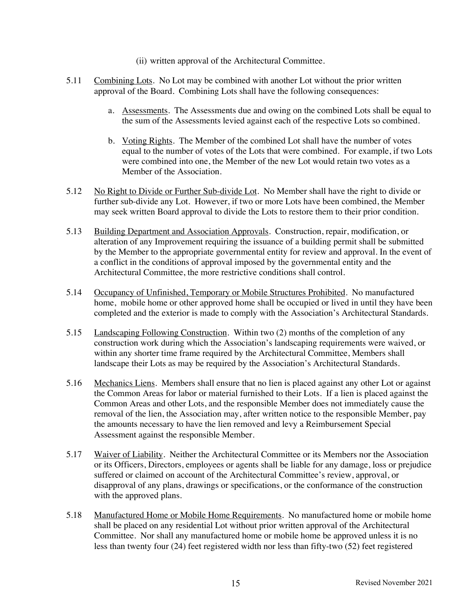- (ii) written approval of the Architectural Committee.
- 5.11 Combining Lots. No Lot may be combined with another Lot without the prior written approval of the Board. Combining Lots shall have the following consequences:
	- a. Assessments. The Assessments due and owing on the combined Lots shall be equal to the sum of the Assessments levied against each of the respective Lots so combined.
	- b. Voting Rights. The Member of the combined Lot shall have the number of votes equal to the number of votes of the Lots that were combined. For example, if two Lots were combined into one, the Member of the new Lot would retain two votes as a Member of the Association.
- 5.12 No Right to Divide or Further Sub-divide Lot. No Member shall have the right to divide or further sub-divide any Lot. However, if two or more Lots have been combined, the Member may seek written Board approval to divide the Lots to restore them to their prior condition.
- 5.13 Building Department and Association Approvals. Construction, repair, modification, or alteration of any Improvement requiring the issuance of a building permit shall be submitted by the Member to the appropriate governmental entity for review and approval. In the event of a conflict in the conditions of approval imposed by the governmental entity and the Architectural Committee, the more restrictive conditions shall control.
- 5.14 Occupancy of Unfinished, Temporary or Mobile Structures Prohibited. No manufactured home, mobile home or other approved home shall be occupied or lived in until they have been completed and the exterior is made to comply with the Association's Architectural Standards.
- 5.15 Landscaping Following Construction. Within two (2) months of the completion of any construction work during which the Association's landscaping requirements were waived, or within any shorter time frame required by the Architectural Committee, Members shall landscape their Lots as may be required by the Association's Architectural Standards.
- 5.16 Mechanics Liens. Members shall ensure that no lien is placed against any other Lot or against the Common Areas for labor or material furnished to their Lots. If a lien is placed against the Common Areas and other Lots, and the responsible Member does not immediately cause the removal of the lien, the Association may, after written notice to the responsible Member, pay the amounts necessary to have the lien removed and levy a Reimbursement Special Assessment against the responsible Member.
- 5.17 Waiver of Liability. Neither the Architectural Committee or its Members nor the Association or its Officers, Directors, employees or agents shall be liable for any damage, loss or prejudice suffered or claimed on account of the Architectural Committee's review, approval, or disapproval of any plans, drawings or specifications, or the conformance of the construction with the approved plans.
- 5.18 Manufactured Home or Mobile Home Requirements. No manufactured home or mobile home shall be placed on any residential Lot without prior written approval of the Architectural Committee. Nor shall any manufactured home or mobile home be approved unless it is no less than twenty four (24) feet registered width nor less than fifty-two (52) feet registered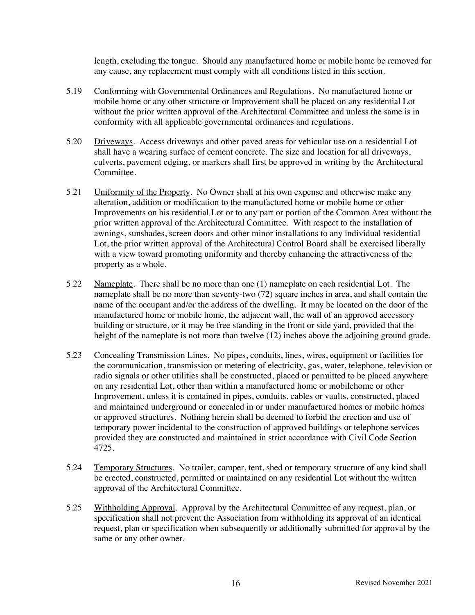length, excluding the tongue. Should any manufactured home or mobile home be removed for any cause, any replacement must comply with all conditions listed in this section.

- 5.19 Conforming with Governmental Ordinances and Regulations. No manufactured home or mobile home or any other structure or Improvement shall be placed on any residential Lot without the prior written approval of the Architectural Committee and unless the same is in conformity with all applicable governmental ordinances and regulations.
- 5.20 Driveways. Access driveways and other paved areas for vehicular use on a residential Lot shall have a wearing surface of cement concrete. The size and location for all driveways, culverts, pavement edging, or markers shall first be approved in writing by the Architectural Committee.
- 5.21 Uniformity of the Property. No Owner shall at his own expense and otherwise make any alteration, addition or modification to the manufactured home or mobile home or other Improvements on his residential Lot or to any part or portion of the Common Area without the prior written approval of the Architectural Committee. With respect to the installation of awnings, sunshades, screen doors and other minor installations to any individual residential Lot, the prior written approval of the Architectural Control Board shall be exercised liberally with a view toward promoting uniformity and thereby enhancing the attractiveness of the property as a whole.
- 5.22 Nameplate. There shall be no more than one (1) nameplate on each residential Lot. The nameplate shall be no more than seventy-two (72) square inches in area, and shall contain the name of the occupant and/or the address of the dwelling. It may be located on the door of the manufactured home or mobile home, the adjacent wall, the wall of an approved accessory building or structure, or it may be free standing in the front or side yard, provided that the height of the nameplate is not more than twelve (12) inches above the adjoining ground grade.
- 5.23 Concealing Transmission Lines. No pipes, conduits, lines, wires, equipment or facilities for the communication, transmission or metering of electricity, gas, water, telephone, television or radio signals or other utilities shall be constructed, placed or permitted to be placed anywhere on any residential Lot, other than within a manufactured home or mobilehome or other Improvement, unless it is contained in pipes, conduits, cables or vaults, constructed, placed and maintained underground or concealed in or under manufactured homes or mobile homes or approved structures. Nothing herein shall be deemed to forbid the erection and use of temporary power incidental to the construction of approved buildings or telephone services provided they are constructed and maintained in strict accordance with Civil Code Section 4725.
- 5.24 Temporary Structures. No trailer, camper, tent, shed or temporary structure of any kind shall be erected, constructed, permitted or maintained on any residential Lot without the written approval of the Architectural Committee.
- 5.25 Withholding Approval. Approval by the Architectural Committee of any request, plan, or specification shall not prevent the Association from withholding its approval of an identical request, plan or specification when subsequently or additionally submitted for approval by the same or any other owner.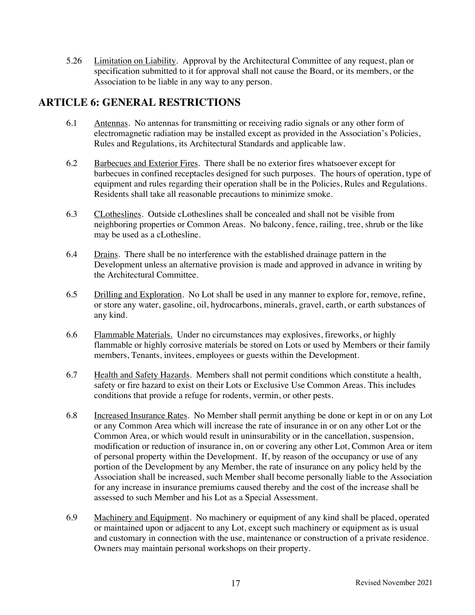5.26 Limitation on Liability. Approval by the Architectural Committee of any request, plan or specification submitted to it for approval shall not cause the Board, or its members, or the Association to be liable in any way to any person.

# **ARTICLE 6: GENERAL RESTRICTIONS**

- 6.1 Antennas. No antennas for transmitting or receiving radio signals or any other form of electromagnetic radiation may be installed except as provided in the Association's Policies, Rules and Regulations, its Architectural Standards and applicable law.
- 6.2 Barbecues and Exterior Fires. There shall be no exterior fires whatsoever except for barbecues in confined receptacles designed for such purposes. The hours of operation, type of equipment and rules regarding their operation shall be in the Policies, Rules and Regulations. Residents shall take all reasonable precautions to minimize smoke.
- 6.3 CLotheslines. Outside cLotheslines shall be concealed and shall not be visible from neighboring properties or Common Areas. No balcony, fence, railing, tree, shrub or the like may be used as a cLothesline.
- 6.4 Drains. There shall be no interference with the established drainage pattern in the Development unless an alternative provision is made and approved in advance in writing by the Architectural Committee.
- 6.5 Drilling and Exploration. No Lot shall be used in any manner to explore for, remove, refine, or store any water, gasoline, oil, hydrocarbons, minerals, gravel, earth, or earth substances of any kind.
- 6.6 Flammable Materials. Under no circumstances may explosives, fireworks, or highly flammable or highly corrosive materials be stored on Lots or used by Members or their family members, Tenants, invitees, employees or guests within the Development.
- 6.7 Health and Safety Hazards. Members shall not permit conditions which constitute a health, safety or fire hazard to exist on their Lots or Exclusive Use Common Areas. This includes conditions that provide a refuge for rodents, vermin, or other pests.
- 6.8 Increased Insurance Rates. No Member shall permit anything be done or kept in or on any Lot or any Common Area which will increase the rate of insurance in or on any other Lot or the Common Area, or which would result in uninsurability or in the cancellation, suspension, modification or reduction of insurance in, on or covering any other Lot, Common Area or item of personal property within the Development. If, by reason of the occupancy or use of any portion of the Development by any Member, the rate of insurance on any policy held by the Association shall be increased, such Member shall become personally liable to the Association for any increase in insurance premiums caused thereby and the cost of the increase shall be assessed to such Member and his Lot as a Special Assessment.
- 6.9 Machinery and Equipment. No machinery or equipment of any kind shall be placed, operated or maintained upon or adjacent to any Lot, except such machinery or equipment as is usual and customary in connection with the use, maintenance or construction of a private residence. Owners may maintain personal workshops on their property.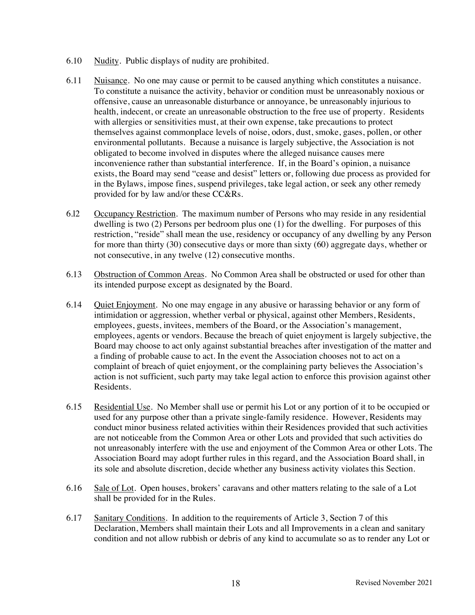- 6.10 Nudity. Public displays of nudity are prohibited.
- 6.11 Nuisance. No one may cause or permit to be caused anything which constitutes a nuisance. To constitute a nuisance the activity, behavior or condition must be unreasonably noxious or offensive, cause an unreasonable disturbance or annoyance, be unreasonably injurious to health, indecent, or create an unreasonable obstruction to the free use of property. Residents with allergies or sensitivities must, at their own expense, take precautions to protect themselves against commonplace levels of noise, odors, dust, smoke, gases, pollen, or other environmental pollutants. Because a nuisance is largely subjective, the Association is not obligated to become involved in disputes where the alleged nuisance causes mere inconvenience rather than substantial interference. If, in the Board's opinion, a nuisance exists, the Board may send "cease and desist" letters or, following due process as provided for in the Bylaws, impose fines, suspend privileges, take legal action, or seek any other remedy provided for by law and/or these CC&Rs.
- 6.l2 Occupancy Restriction. The maximum number of Persons who may reside in any residential dwelling is two (2) Persons per bedroom plus one (1) for the dwelling. For purposes of this restriction, "reside" shall mean the use, residency or occupancy of any dwelling by any Person for more than thirty (30) consecutive days or more than sixty (60) aggregate days, whether or not consecutive, in any twelve (12) consecutive months.
- 6.13 Obstruction of Common Areas. No Common Area shall be obstructed or used for other than its intended purpose except as designated by the Board.
- 6.14 Quiet Enjoyment. No one may engage in any abusive or harassing behavior or any form of intimidation or aggression, whether verbal or physical, against other Members, Residents, employees, guests, invitees, members of the Board, or the Association's management, employees, agents or vendors. Because the breach of quiet enjoyment is largely subjective, the Board may choose to act only against substantial breaches after investigation of the matter and a finding of probable cause to act. In the event the Association chooses not to act on a complaint of breach of quiet enjoyment, or the complaining party believes the Association's action is not sufficient, such party may take legal action to enforce this provision against other Residents.
- 6.15 Residential Use. No Member shall use or permit his Lot or any portion of it to be occupied or used for any purpose other than a private single-family residence. However, Residents may conduct minor business related activities within their Residences provided that such activities are not noticeable from the Common Area or other Lots and provided that such activities do not unreasonably interfere with the use and enjoyment of the Common Area or other Lots. The Association Board may adopt further rules in this regard, and the Association Board shall, in its sole and absolute discretion, decide whether any business activity violates this Section.
- 6.16 Sale of Lot. Open houses, brokers' caravans and other matters relating to the sale of a Lot shall be provided for in the Rules.
- 6.17 Sanitary Conditions. In addition to the requirements of Article 3, Section 7 of this Declaration, Members shall maintain their Lots and all Improvements in a clean and sanitary condition and not allow rubbish or debris of any kind to accumulate so as to render any Lot or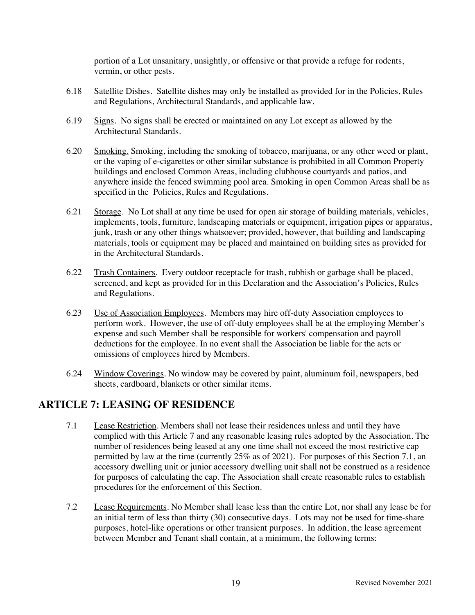portion of a Lot unsanitary, unsightly, or offensive or that provide a refuge for rodents, vermin, or other pests.

- 6.18 Satellite Dishes. Satellite dishes may only be installed as provided for in the Policies, Rules and Regulations, Architectural Standards, and applicable law.
- 6.19 Signs. No signs shall be erected or maintained on any Lot except as allowed by the Architectural Standards.
- 6.20 Smoking. Smoking, including the smoking of tobacco, marijuana, or any other weed or plant, or the vaping of e-cigarettes or other similar substance is prohibited in all Common Property buildings and enclosed Common Areas, including clubhouse courtyards and patios, and anywhere inside the fenced swimming pool area. Smoking in open Common Areas shall be as specified in the Policies, Rules and Regulations.
- 6.21 Storage. No Lot shall at any time be used for open air storage of building materials, vehicles, implements, tools, furniture, landscaping materials or equipment, irrigation pipes or apparatus, junk, trash or any other things whatsoever; provided, however, that building and landscaping materials, tools or equipment may be placed and maintained on building sites as provided for in the Architectural Standards.
- 6.22 Trash Containers. Every outdoor receptacle for trash, rubbish or garbage shall be placed, screened, and kept as provided for in this Declaration and the Association's Policies, Rules and Regulations.
- 6.23 Use of Association Employees. Members may hire off-duty Association employees to perform work. However, the use of off-duty employees shall be at the employing Member's expense and such Member shall be responsible for workers' compensation and payroll deductions for the employee. In no event shall the Association be liable for the acts or omissions of employees hired by Members.
- 6.24 Window Coverings. No window may be covered by paint, aluminum foil, newspapers, bed sheets, cardboard, blankets or other similar items.

# **ARTICLE 7: LEASING OF RESIDENCE**

- 7.1 Lease Restriction. Members shall not lease their residences unless and until they have complied with this Article 7 and any reasonable leasing rules adopted by the Association. The number of residences being leased at any one time shall not exceed the most restrictive cap permitted by law at the time (currently 25% as of 2021). For purposes of this Section 7.1, an accessory dwelling unit or junior accessory dwelling unit shall not be construed as a residence for purposes of calculating the cap. The Association shall create reasonable rules to establish procedures for the enforcement of this Section.
- 7.2 Lease Requirements. No Member shall lease less than the entire Lot, nor shall any lease be for an initial term of less than thirty (30) consecutive days. Lots may not be used for time-share purposes, hotel-like operations or other transient purposes. In addition, the lease agreement between Member and Tenant shall contain, at a minimum, the following terms: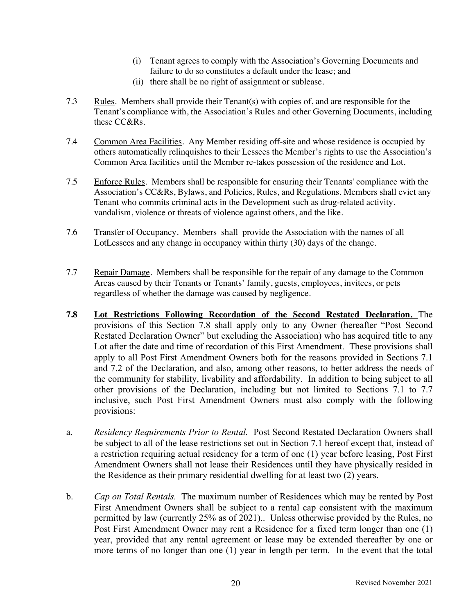- (i) Tenant agrees to comply with the Association's Governing Documents and failure to do so constitutes a default under the lease; and
- (ii) there shall be no right of assignment or sublease.
- 7.3 Rules. Members shall provide their Tenant(s) with copies of, and are responsible for the Tenant's compliance with, the Association's Rules and other Governing Documents, including these CC&Rs.
- 7.4 Common Area Facilities. Any Member residing off-site and whose residence is occupied by others automatically relinquishes to their Lessees the Member's rights to use the Association's Common Area facilities until the Member re-takes possession of the residence and Lot.
- 7.5 Enforce Rules. Members shall be responsible for ensuring their Tenants' compliance with the Association's CC&Rs, Bylaws, and Policies, Rules, and Regulations. Members shall evict any Tenant who commits criminal acts in the Development such as drug-related activity, vandalism, violence or threats of violence against others, and the like.
- 7.6 Transfer of Occupancy. Members shall provide the Association with the names of all LotLessees and any change in occupancy within thirty (30) days of the change.
- 7.7 Repair Damage. Members shall be responsible for the repair of any damage to the Common Areas caused by their Tenants or Tenants' family, guests, employees, invitees, or pets regardless of whether the damage was caused by negligence.
- **7.8 Lot Restrictions Following Recordation of the Second Restated Declaration.** The provisions of this Section 7.8 shall apply only to any Owner (hereafter "Post Second Restated Declaration Owner" but excluding the Association) who has acquired title to any Lot after the date and time of recordation of this First Amendment. These provisions shall apply to all Post First Amendment Owners both for the reasons provided in Sections 7.1 and 7.2 of the Declaration, and also, among other reasons, to better address the needs of the community for stability, livability and affordability. In addition to being subject to all other provisions of the Declaration, including but not limited to Sections 7.1 to 7.7 inclusive, such Post First Amendment Owners must also comply with the following provisions:
- a. *Residency Requirements Prior to Rental.* Post Second Restated Declaration Owners shall be subject to all of the lease restrictions set out in Section 7.1 hereof except that, instead of a restriction requiring actual residency for a term of one (1) year before leasing, Post First Amendment Owners shall not lease their Residences until they have physically resided in the Residence as their primary residential dwelling for at least two (2) years.
- b. *Cap on Total Rentals.* The maximum number of Residences which may be rented by Post First Amendment Owners shall be subject to a rental cap consistent with the maximum permitted by law (currently 25% as of 2021).. Unless otherwise provided by the Rules, no Post First Amendment Owner may rent a Residence for a fixed term longer than one (1) year, provided that any rental agreement or lease may be extended thereafter by one or more terms of no longer than one (1) year in length per term. In the event that the total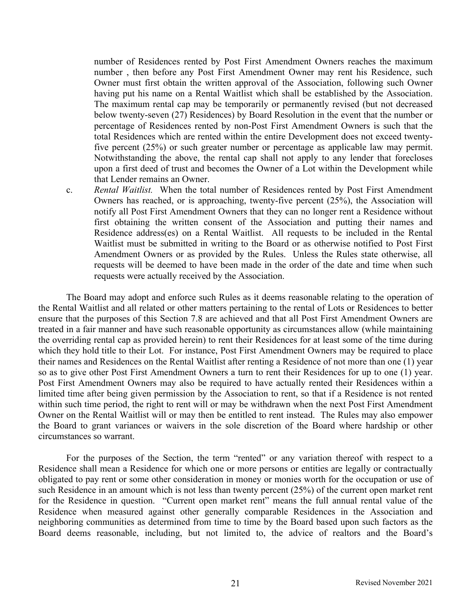number of Residences rented by Post First Amendment Owners reaches the maximum number , then before any Post First Amendment Owner may rent his Residence, such Owner must first obtain the written approval of the Association, following such Owner having put his name on a Rental Waitlist which shall be established by the Association. The maximum rental cap may be temporarily or permanently revised (but not decreased below twenty-seven (27) Residences) by Board Resolution in the event that the number or percentage of Residences rented by non-Post First Amendment Owners is such that the total Residences which are rented within the entire Development does not exceed twentyfive percent (25%) or such greater number or percentage as applicable law may permit. Notwithstanding the above, the rental cap shall not apply to any lender that forecloses upon a first deed of trust and becomes the Owner of a Lot within the Development while that Lender remains an Owner.

c. *Rental Waitlist.* When the total number of Residences rented by Post First Amendment Owners has reached, or is approaching, twenty-five percent (25%), the Association will notify all Post First Amendment Owners that they can no longer rent a Residence without first obtaining the written consent of the Association and putting their names and Residence address(es) on a Rental Waitlist. All requests to be included in the Rental Waitlist must be submitted in writing to the Board or as otherwise notified to Post First Amendment Owners or as provided by the Rules. Unless the Rules state otherwise, all requests will be deemed to have been made in the order of the date and time when such requests were actually received by the Association.

The Board may adopt and enforce such Rules as it deems reasonable relating to the operation of the Rental Waitlist and all related or other matters pertaining to the rental of Lots or Residences to better ensure that the purposes of this Section 7.8 are achieved and that all Post First Amendment Owners are treated in a fair manner and have such reasonable opportunity as circumstances allow (while maintaining the overriding rental cap as provided herein) to rent their Residences for at least some of the time during which they hold title to their Lot. For instance, Post First Amendment Owners may be required to place their names and Residences on the Rental Waitlist after renting a Residence of not more than one (1) year so as to give other Post First Amendment Owners a turn to rent their Residences for up to one (1) year. Post First Amendment Owners may also be required to have actually rented their Residences within a limited time after being given permission by the Association to rent, so that if a Residence is not rented within such time period, the right to rent will or may be withdrawn when the next Post First Amendment Owner on the Rental Waitlist will or may then be entitled to rent instead. The Rules may also empower the Board to grant variances or waivers in the sole discretion of the Board where hardship or other circumstances so warrant.

For the purposes of the Section, the term "rented" or any variation thereof with respect to a Residence shall mean a Residence for which one or more persons or entities are legally or contractually obligated to pay rent or some other consideration in money or monies worth for the occupation or use of such Residence in an amount which is not less than twenty percent (25%) of the current open market rent for the Residence in question. "Current open market rent" means the full annual rental value of the Residence when measured against other generally comparable Residences in the Association and neighboring communities as determined from time to time by the Board based upon such factors as the Board deems reasonable, including, but not limited to, the advice of realtors and the Board's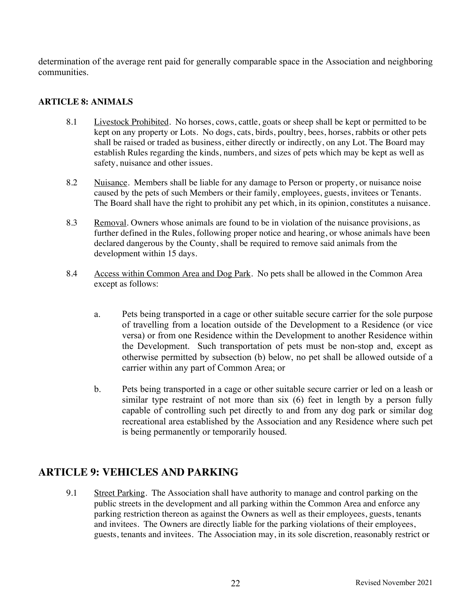determination of the average rent paid for generally comparable space in the Association and neighboring communities.

#### **ARTICLE 8: ANIMALS**

- 8.1 Livestock Prohibited. No horses, cows, cattle, goats or sheep shall be kept or permitted to be kept on any property or Lots. No dogs, cats, birds, poultry, bees, horses, rabbits or other pets shall be raised or traded as business, either directly or indirectly, on any Lot. The Board may establish Rules regarding the kinds, numbers, and sizes of pets which may be kept as well as safety, nuisance and other issues.
- 8.2 Nuisance. Members shall be liable for any damage to Person or property, or nuisance noise caused by the pets of such Members or their family, employees, guests, invitees or Tenants. The Board shall have the right to prohibit any pet which, in its opinion, constitutes a nuisance.
- 8.3 Removal. Owners whose animals are found to be in violation of the nuisance provisions, as further defined in the Rules, following proper notice and hearing, or whose animals have been declared dangerous by the County, shall be required to remove said animals from the development within 15 days.
- 8.4 Access within Common Area and Dog Park. No pets shall be allowed in the Common Area except as follows:
	- a. Pets being transported in a cage or other suitable secure carrier for the sole purpose of travelling from a location outside of the Development to a Residence (or vice versa) or from one Residence within the Development to another Residence within the Development. Such transportation of pets must be non-stop and, except as otherwise permitted by subsection (b) below, no pet shall be allowed outside of a carrier within any part of Common Area; or
	- b. Pets being transported in a cage or other suitable secure carrier or led on a leash or similar type restraint of not more than six (6) feet in length by a person fully capable of controlling such pet directly to and from any dog park or similar dog recreational area established by the Association and any Residence where such pet is being permanently or temporarily housed.

# **ARTICLE 9: VEHICLES AND PARKING**

9.1 Street Parking. The Association shall have authority to manage and control parking on the public streets in the development and all parking within the Common Area and enforce any parking restriction thereon as against the Owners as well as their employees, guests, tenants and invitees. The Owners are directly liable for the parking violations of their employees, guests, tenants and invitees. The Association may, in its sole discretion, reasonably restrict or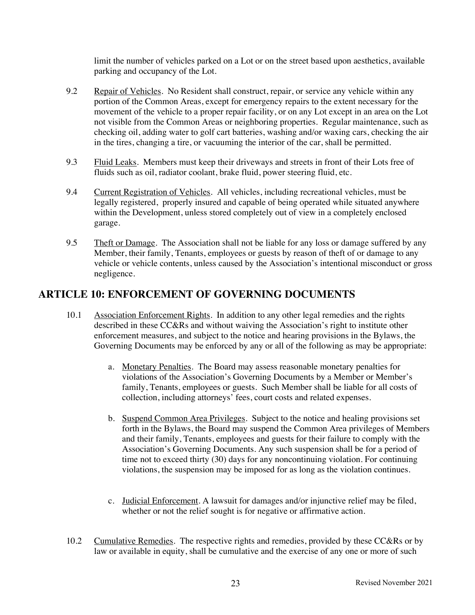limit the number of vehicles parked on a Lot or on the street based upon aesthetics, available parking and occupancy of the Lot.

- 9.2 Repair of Vehicles. No Resident shall construct, repair, or service any vehicle within any portion of the Common Areas, except for emergency repairs to the extent necessary for the movement of the vehicle to a proper repair facility, or on any Lot except in an area on the Lot not visible from the Common Areas or neighboring properties. Regular maintenance, such as checking oil, adding water to golf cart batteries, washing and/or waxing cars, checking the air in the tires, changing a tire, or vacuuming the interior of the car, shall be permitted.
- 9.3 Fluid Leaks. Members must keep their driveways and streets in front of their Lots free of fluids such as oil, radiator coolant, brake fluid, power steering fluid, etc.
- 9.4 Current Registration of Vehicles. All vehicles, including recreational vehicles, must be legally registered, properly insured and capable of being operated while situated anywhere within the Development, unless stored completely out of view in a completely enclosed garage.
- 9.5 Theft or Damage. The Association shall not be liable for any loss or damage suffered by any Member, their family, Tenants, employees or guests by reason of theft of or damage to any vehicle or vehicle contents, unless caused by the Association's intentional misconduct or gross negligence.

# **ARTICLE 10: ENFORCEMENT OF GOVERNING DOCUMENTS**

- 10.1 Association Enforcement Rights. In addition to any other legal remedies and the rights described in these CC&Rs and without waiving the Association's right to institute other enforcement measures, and subject to the notice and hearing provisions in the Bylaws, the Governing Documents may be enforced by any or all of the following as may be appropriate:
	- a. Monetary Penalties. The Board may assess reasonable monetary penalties for violations of the Association's Governing Documents by a Member or Member's family, Tenants, employees or guests. Such Member shall be liable for all costs of collection, including attorneys' fees, court costs and related expenses.
	- b. Suspend Common Area Privileges. Subject to the notice and healing provisions set forth in the Bylaws, the Board may suspend the Common Area privileges of Members and their family, Tenants, employees and guests for their failure to comply with the Association's Governing Documents. Any such suspension shall be for a period of time not to exceed thirty (30) days for any noncontinuing violation. For continuing violations, the suspension may be imposed for as long as the violation continues.
	- c. Judicial Enforcement. A lawsuit for damages and/or injunctive relief may be filed, whether or not the relief sought is for negative or affirmative action.
- 10.2 Cumulative Remedies. The respective rights and remedies, provided by these CC&Rs or by law or available in equity, shall be cumulative and the exercise of any one or more of such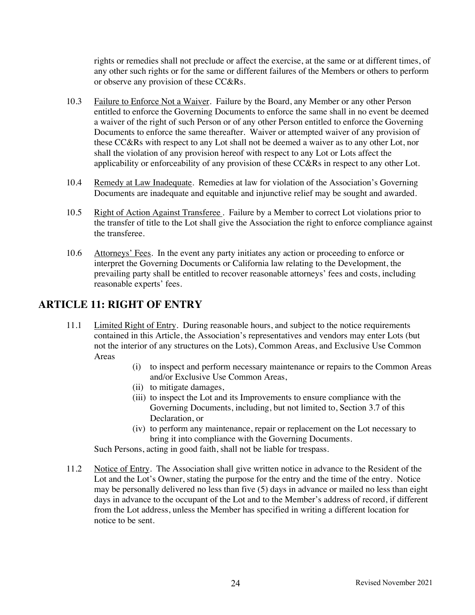rights or remedies shall not preclude or affect the exercise, at the same or at different times, of any other such rights or for the same or different failures of the Members or others to perform or observe any provision of these CC&Rs.

- 10.3 Failure to Enforce Not a Waiver. Failure by the Board, any Member or any other Person entitled to enforce the Governing Documents to enforce the same shall in no event be deemed a waiver of the right of such Person or of any other Person entitled to enforce the Governing Documents to enforce the same thereafter. Waiver or attempted waiver of any provision of these CC&Rs with respect to any Lot shall not be deemed a waiver as to any other Lot, nor shall the violation of any provision hereof with respect to any Lot or Lots affect the applicability or enforceability of any provision of these CC&Rs in respect to any other Lot.
- 10.4 Remedy at Law Inadequate. Remedies at law for violation of the Association's Governing Documents are inadequate and equitable and injunctive relief may be sought and awarded.
- 10.5 Right of Action Against Transferee. Failure by a Member to correct Lot violations prior to the transfer of title to the Lot shall give the Association the right to enforce compliance against the transferee.
- 10.6 Attorneys' Fees. In the event any party initiates any action or proceeding to enforce or interpret the Governing Documents or California law relating to the Development, the prevailing party shall be entitled to recover reasonable attorneys' fees and costs, including reasonable experts' fees.

# **ARTICLE 11: RIGHT OF ENTRY**

- 11.1 Limited Right of Entry. During reasonable hours, and subject to the notice requirements contained in this Article, the Association's representatives and vendors may enter Lots (but not the interior of any structures on the Lots), Common Areas, and Exclusive Use Common Areas
	- (i) to inspect and perform necessary maintenance or repairs to the Common Areas and/or Exclusive Use Common Areas,
	- (ii) to mitigate damages,
	- (iii) to inspect the Lot and its Improvements to ensure compliance with the Governing Documents, including, but not limited to, Section 3.7 of this Declaration, or
	- (iv) to perform any maintenance, repair or replacement on the Lot necessary to bring it into compliance with the Governing Documents.

Such Persons, acting in good faith, shall not be liable for trespass.

11.2 Notice of Entry. The Association shall give written notice in advance to the Resident of the Lot and the Lot's Owner, stating the purpose for the entry and the time of the entry. Notice may be personally delivered no less than five (5) days in advance or mailed no less than eight days in advance to the occupant of the Lot and to the Member's address of record, if different from the Lot address, unless the Member has specified in writing a different location for notice to be sent.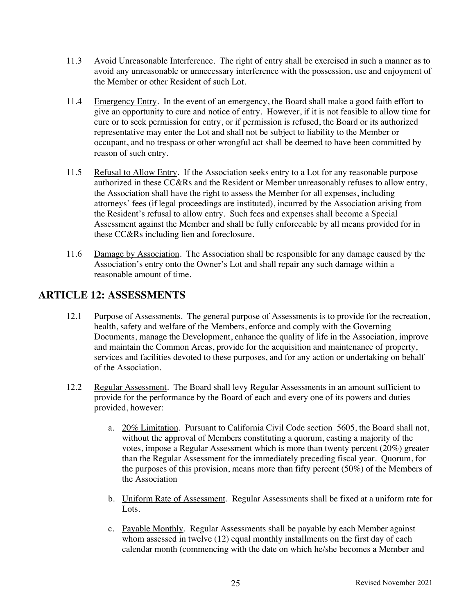- 11.3 Avoid Unreasonable Interference. The right of entry shall be exercised in such a manner as to avoid any unreasonable or unnecessary interference with the possession, use and enjoyment of the Member or other Resident of such Lot.
- 11.4 Emergency Entry. In the event of an emergency, the Board shall make a good faith effort to give an opportunity to cure and notice of entry. However, if it is not feasible to allow time for cure or to seek permission for entry, or if permission is refused, the Board or its authorized representative may enter the Lot and shall not be subject to liability to the Member or occupant, and no trespass or other wrongful act shall be deemed to have been committed by reason of such entry.
- 11.5 Refusal to Allow Entry. If the Association seeks entry to a Lot for any reasonable purpose authorized in these CC&Rs and the Resident or Member unreasonably refuses to allow entry, the Association shall have the right to assess the Member for all expenses, including attorneys' fees (if legal proceedings are instituted), incurred by the Association arising from the Resident's refusal to allow entry. Such fees and expenses shall become a Special Assessment against the Member and shall be fully enforceable by all means provided for in these CC&Rs including lien and foreclosure.
- 11.6 Damage by Association. The Association shall be responsible for any damage caused by the Association's entry onto the Owner's Lot and shall repair any such damage within a reasonable amount of time.

#### **ARTICLE 12: ASSESSMENTS**

- 12.1 Purpose of Assessments. The general purpose of Assessments is to provide for the recreation, health, safety and welfare of the Members, enforce and comply with the Governing Documents, manage the Development, enhance the quality of life in the Association, improve and maintain the Common Areas, provide for the acquisition and maintenance of property, services and facilities devoted to these purposes, and for any action or undertaking on behalf of the Association.
- 12.2 Regular Assessment. The Board shall levy Regular Assessments in an amount sufficient to provide for the performance by the Board of each and every one of its powers and duties provided, however:
	- a. 20% Limitation. Pursuant to California Civil Code section 5605, the Board shall not, without the approval of Members constituting a quorum, casting a majority of the votes, impose a Regular Assessment which is more than twenty percent (20%) greater than the Regular Assessment for the immediately preceding fiscal year. Quorum, for the purposes of this provision, means more than fifty percent (50%) of the Members of the Association
	- b. Uniform Rate of Assessment. Regular Assessments shall be fixed at a uniform rate for Lots.
	- c. Payable Monthly. Regular Assessments shall be payable by each Member against whom assessed in twelve (12) equal monthly installments on the first day of each calendar month (commencing with the date on which he/she becomes a Member and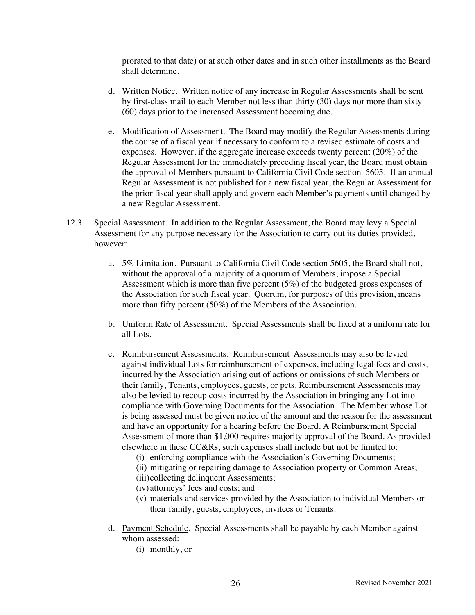prorated to that date) or at such other dates and in such other installments as the Board shall determine.

- d. Written Notice. Written notice of any increase in Regular Assessments shall be sent by first-class mail to each Member not less than thirty (30) days nor more than sixty (60) days prior to the increased Assessment becoming due.
- e. Modification of Assessment. The Board may modify the Regular Assessments during the course of a fiscal year if necessary to conform to a revised estimate of costs and expenses. However, if the aggregate increase exceeds twenty percent (20%) of the Regular Assessment for the immediately preceding fiscal year, the Board must obtain the approval of Members pursuant to California Civil Code section 5605. If an annual Regular Assessment is not published for a new fiscal year, the Regular Assessment for the prior fiscal year shall apply and govern each Member's payments until changed by a new Regular Assessment.
- 12.3 Special Assessment. In addition to the Regular Assessment, the Board may levy a Special Assessment for any purpose necessary for the Association to carry out its duties provided, however:
	- a. 5% Limitation. Pursuant to California Civil Code section 5605, the Board shall not, without the approval of a majority of a quorum of Members, impose a Special Assessment which is more than five percent (5%) of the budgeted gross expenses of the Association for such fiscal year. Quorum, for purposes of this provision, means more than fifty percent (50%) of the Members of the Association.
	- b. Uniform Rate of Assessment. Special Assessments shall be fixed at a uniform rate for all Lots.
	- c. Reimbursement Assessments. Reimbursement Assessments may also be levied against individual Lots for reimbursement of expenses, including legal fees and costs, incurred by the Association arising out of actions or omissions of such Members or their family, Tenants, employees, guests, or pets. Reimbursement Assessments may also be levied to recoup costs incurred by the Association in bringing any Lot into compliance with Governing Documents for the Association. The Member whose Lot is being assessed must be given notice of the amount and the reason for the assessment and have an opportunity for a hearing before the Board. A Reimbursement Special Assessment of more than \$1,000 requires majority approval of the Board. As provided elsewhere in these CC&Rs, such expenses shall include but not be limited to:
		- (i) enforcing compliance with the Association's Governing Documents;
		- (ii) mitigating or repairing damage to Association property or Common Areas;
		- (iii)collecting delinquent Assessments;
		- (iv) attorneys' fees and costs; and
		- (v) materials and services provided by the Association to individual Members or their family, guests, employees, invitees or Tenants.
	- d. Payment Schedule. Special Assessments shall be payable by each Member against whom assessed:
		- (i) monthly, or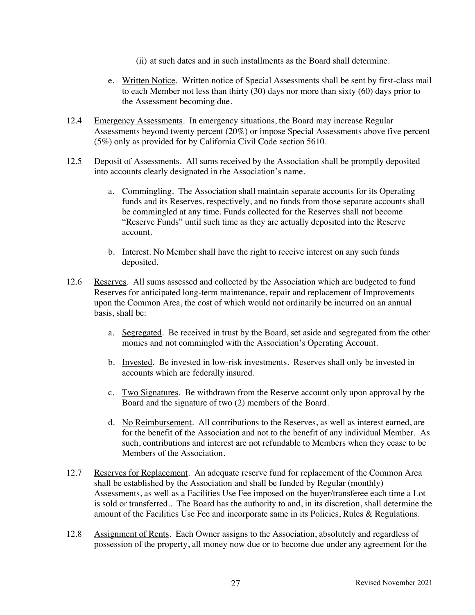- (ii) at such dates and in such installments as the Board shall determine.
- e. Written Notice. Written notice of Special Assessments shall be sent by first-class mail to each Member not less than thirty (30) days nor more than sixty (60) days prior to the Assessment becoming due.
- 12.4 Emergency Assessments. In emergency situations, the Board may increase Regular Assessments beyond twenty percent (20%) or impose Special Assessments above five percent (5%) only as provided for by California Civil Code section 5610.
- 12.5 Deposit of Assessments. All sums received by the Association shall be promptly deposited into accounts clearly designated in the Association's name.
	- a. Commingling. The Association shall maintain separate accounts for its Operating funds and its Reserves, respectively, and no funds from those separate accounts shall be commingled at any time. Funds collected for the Reserves shall not become "Reserve Funds" until such time as they are actually deposited into the Reserve account.
	- b. Interest. No Member shall have the right to receive interest on any such funds deposited.
- 12.6 Reserves. All sums assessed and collected by the Association which are budgeted to fund Reserves for anticipated long-term maintenance, repair and replacement of Improvements upon the Common Area, the cost of which would not ordinarily be incurred on an annual basis, shall be:
	- a. Segregated. Be received in trust by the Board, set aside and segregated from the other monies and not commingled with the Association's Operating Account.
	- b. Invested. Be invested in low-risk investments. Reserves shall only be invested in accounts which are federally insured.
	- c. Two Signatures. Be withdrawn from the Reserve account only upon approval by the Board and the signature of two (2) members of the Board.
	- d. No Reimbursement. All contributions to the Reserves, as well as interest earned, are for the benefit of the Association and not to the benefit of any individual Member. As such, contributions and interest are not refundable to Members when they cease to be Members of the Association.
- 12.7 Reserves for Replacement. An adequate reserve fund for replacement of the Common Area shall be established by the Association and shall be funded by Regular (monthly) Assessments, as well as a Facilities Use Fee imposed on the buyer/transferee each time a Lot is sold or transferred.. The Board has the authority to and, in its discretion, shall determine the amount of the Facilities Use Fee and incorporate same in its Policies, Rules & Regulations.
- 12.8 Assignment of Rents. Each Owner assigns to the Association, absolutely and regardless of possession of the property, all money now due or to become due under any agreement for the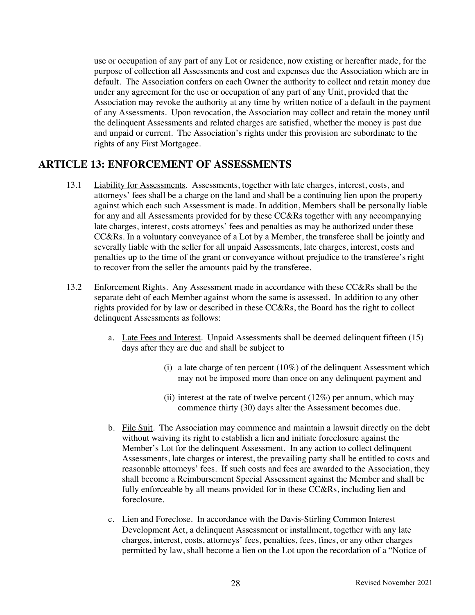use or occupation of any part of any Lot or residence, now existing or hereafter made, for the purpose of collection all Assessments and cost and expenses due the Association which are in default. The Association confers on each Owner the authority to collect and retain money due under any agreement for the use or occupation of any part of any Unit, provided that the Association may revoke the authority at any time by written notice of a default in the payment of any Assessments. Upon revocation, the Association may collect and retain the money until the delinquent Assessments and related charges are satisfied, whether the money is past due and unpaid or current. The Association's rights under this provision are subordinate to the rights of any First Mortgagee.

#### **ARTICLE 13: ENFORCEMENT OF ASSESSMENTS**

- 13.1 Liability for Assessments. Assessments, together with late charges, interest, costs, and attorneys' fees shall be a charge on the land and shall be a continuing lien upon the property against which each such Assessment is made. In addition, Members shall be personally liable for any and all Assessments provided for by these CC&Rs together with any accompanying late charges, interest, costs attorneys' fees and penalties as may be authorized under these CC&Rs. In a voluntary conveyance of a Lot by a Member, the transferee shall be jointly and severally liable with the seller for all unpaid Assessments, late charges, interest, costs and penalties up to the time of the grant or conveyance without prejudice to the transferee's right to recover from the seller the amounts paid by the transferee.
- 13.2 Enforcement Rights. Any Assessment made in accordance with these CC&Rs shall be the separate debt of each Member against whom the same is assessed. In addition to any other rights provided for by law or described in these CC&Rs, the Board has the right to collect delinquent Assessments as follows:
	- a. Late Fees and Interest. Unpaid Assessments shall be deemed delinquent fifteen (15) days after they are due and shall be subject to
		- (i) a late charge of ten percent  $(10\%)$  of the delinquent Assessment which may not be imposed more than once on any delinquent payment and
		- (ii) interest at the rate of twelve percent  $(12\%)$  per annum, which may commence thirty (30) days alter the Assessment becomes due.
	- b. File Suit. The Association may commence and maintain a lawsuit directly on the debt without waiving its right to establish a lien and initiate foreclosure against the Member's Lot for the delinquent Assessment. In any action to collect delinquent Assessments, late charges or interest, the prevailing party shall be entitled to costs and reasonable attorneys' fees. If such costs and fees are awarded to the Association, they shall become a Reimbursement Special Assessment against the Member and shall be fully enforceable by all means provided for in these CC&Rs, including lien and foreclosure.
	- c. Lien and Foreclose. In accordance with the Davis-Stirling Common Interest Development Act, a delinquent Assessment or installment, together with any late charges, interest, costs, attorneys' fees, penalties, fees, fines, or any other charges permitted by law, shall become a lien on the Lot upon the recordation of a "Notice of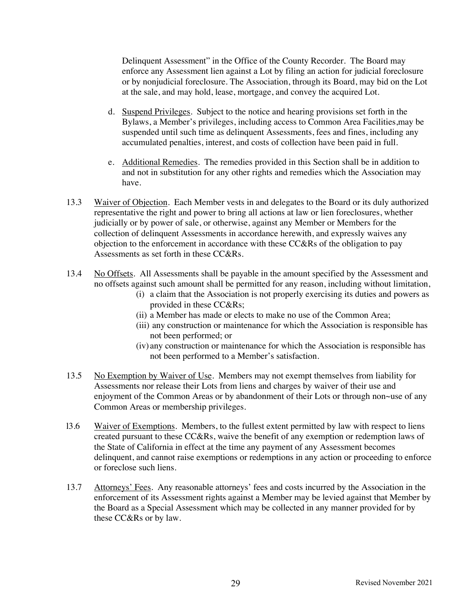Delinquent Assessment" in the Office of the County Recorder. The Board may enforce any Assessment lien against a Lot by filing an action for judicial foreclosure or by nonjudicial foreclosure. The Association, through its Board, may bid on the Lot at the sale, and may hold, lease, mortgage, and convey the acquired Lot.

- d. Suspend Privileges. Subject to the notice and hearing provisions set forth in the Bylaws, a Member's privileges, including access to Common Area Facilities,may be suspended until such time as delinquent Assessments, fees and fines, including any accumulated penalties, interest, and costs of collection have been paid in full.
- e. Additional Remedies. The remedies provided in this Section shall be in addition to and not in substitution for any other rights and remedies which the Association may have.
- 13.3 Waiver of Objection. Each Member vests in and delegates to the Board or its duly authorized representative the right and power to bring all actions at law or lien foreclosures, whether judicially or by power of sale, or otherwise, against any Member or Members for the collection of delinquent Assessments in accordance herewith, and expressly waives any objection to the enforcement in accordance with these CC&Rs of the obligation to pay Assessments as set forth in these CC&Rs.
- 13.4 No Offsets. All Assessments shall be payable in the amount specified by the Assessment and no offsets against such amount shall be permitted for any reason, including without limitation,
	- (i) a claim that the Association is not properly exercising its duties and powers as provided in these CC&Rs;
	- (ii) a Member has made or elects to make no use of the Common Area;
	- (iii) any construction or maintenance for which the Association is responsible has not been performed; or
	- (iv) any construction or maintenance for which the Association is responsible has not been performed to a Member's satisfaction.
- 13.5 No Exemption by Waiver of Use. Members may not exempt themselves from liability for Assessments nor release their Lots from liens and charges by waiver of their use and enjoyment of the Common Areas or by abandonment of their Lots or through non~use of any Common Areas or membership privileges.
- l3.6 Waiver of Exemptions. Members, to the fullest extent permitted by law with respect to liens created pursuant to these CC&Rs, waive the benefit of any exemption or redemption laws of the State of California in effect at the time any payment of any Assessment becomes delinquent, and cannot raise exemptions or redemptions in any action or proceeding to enforce or foreclose such liens.
- 13.7 Attorneys' Fees. Any reasonable attorneys' fees and costs incurred by the Association in the enforcement of its Assessment rights against a Member may be levied against that Member by the Board as a Special Assessment which may be collected in any manner provided for by these CC&Rs or by law.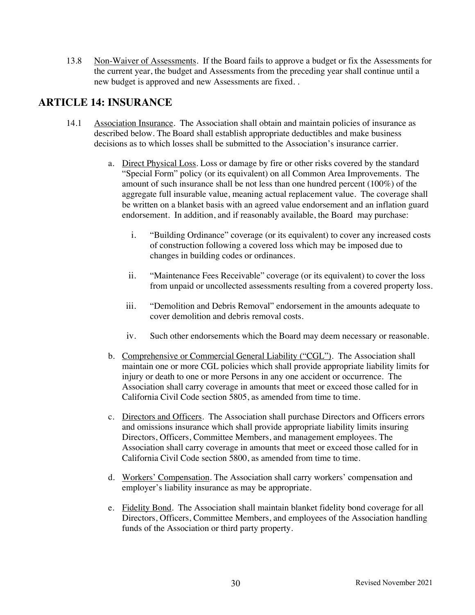13.8 Non-Waiver of Assessments. If the Board fails to approve a budget or fix the Assessments for the current year, the budget and Assessments from the preceding year shall continue until a new budget is approved and new Assessments are fixed. .

### **ARTICLE 14: INSURANCE**

- 14.1 Association Insurance. The Association shall obtain and maintain policies of insurance as described below. The Board shall establish appropriate deductibles and make business decisions as to which losses shall be submitted to the Association's insurance carrier.
	- a. Direct Physical Loss. Loss or damage by fire or other risks covered by the standard "Special Form" policy (or its equivalent) on all Common Area Improvements. The amount of such insurance shall be not less than one hundred percent (100%) of the aggregate full insurable value, meaning actual replacement value. The coverage shall be written on a blanket basis with an agreed value endorsement and an inflation guard endorsement. In addition, and if reasonably available, the Board may purchase:
		- i. "Building Ordinance" coverage (or its equivalent) to cover any increased costs of construction following a covered loss which may be imposed due to changes in building codes or ordinances.
		- ii. "Maintenance Fees Receivable" coverage (or its equivalent) to cover the loss from unpaid or uncollected assessments resulting from a covered property loss.
		- iii. "Demolition and Debris Removal" endorsement in the amounts adequate to cover demolition and debris removal costs.
		- iv. Such other endorsements which the Board may deem necessary or reasonable.
	- b. Comprehensive or Commercial General Liability ("CGL"). The Association shall maintain one or more CGL policies which shall provide appropriate liability limits for injury or death to one or more Persons in any one accident or occurrence. The Association shall carry coverage in amounts that meet or exceed those called for in California Civil Code section 5805, as amended from time to time.
	- c. Directors and Officers. The Association shall purchase Directors and Officers errors and omissions insurance which shall provide appropriate liability limits insuring Directors, Officers, Committee Members, and management employees. The Association shall carry coverage in amounts that meet or exceed those called for in California Civil Code section 5800, as amended from time to time.
	- d. Workers' Compensation. The Association shall carry workers' compensation and employer's liability insurance as may be appropriate.
	- e. Fidelity Bond. The Association shall maintain blanket fidelity bond coverage for all Directors, Officers, Committee Members, and employees of the Association handling funds of the Association or third party property.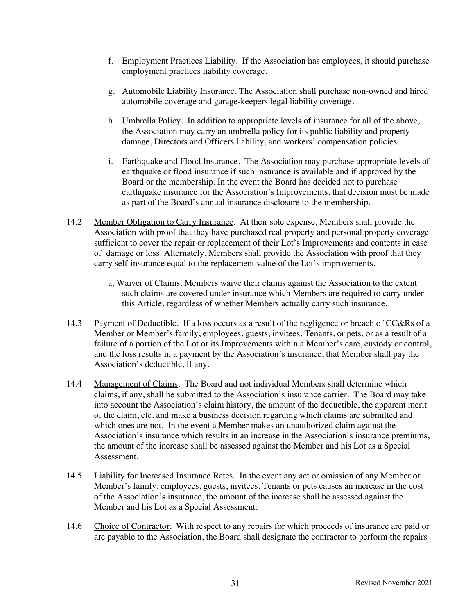- f. Employment Practices Liability. If the Association has employees, it should purchase employment practices liability coverage.
- g. Automobile Liability Insurance. The Association shall purchase non-owned and hired automobile coverage and garage-keepers legal liability coverage.
- h. Umbrella Policy. In addition to appropriate levels of insurance for all of the above, the Association may carry an umbrella policy for its public liability and property damage, Directors and Officers liability, and workers' compensation policies.
- i. Earthquake and Flood Insurance. The Association may purchase appropriate levels of earthquake or flood insurance if such insurance is available and if approved by the Board or the membership. In the event the Board has decided not to purchase earthquake insurance for the Association's Improvements, that decision must be made as part of the Board's annual insurance disclosure to the membership.
- 14.2 Member Obligation to Carry Insurance. At their sole expense, Members shall provide the Association with proof that they have purchased real property and personal property coverage sufficient to cover the repair or replacement of their Lot's Improvements and contents in case of damage or loss. Alternately, Members shall provide the Association with proof that they carry self-insurance equal to the replacement value of the Lot's improvements.
	- a. Waiver of Claims. Members waive their claims against the Association to the extent such claims are covered under insurance which Members are required to carry under this Article, regardless of whether Members actually carry such insurance.
- 14.3 Payment of Deductible. If a loss occurs as a result of the negligence or breach of CC&Rs of a Member or Member's family, employees, guests, invitees, Tenants, or pets, or as a result of a failure of a portion of the Lot or its Improvements within a Member's care, custody or control, and the loss results in a payment by the Association's insurance, that Member shall pay the Association's deductible, if any.
- 14.4 Management of Claims. The Board and not individual Members shall determine which claims, if any, shall be submitted to the Association's insurance carrier. The Board may take into account the Association's claim history, the amount of the deductible, the apparent merit of the claim, etc. and make a business decision regarding which claims are submitted and which ones are not. In the event a Member makes an unauthorized claim against the Association's insurance which results in an increase in the Association's insurance premiums, the amount of the increase shall be assessed against the Member and his Lot as a Special Assessment.
- 14.5 Liability for Increased Insurance Rates. In the event any act or omission of any Member or Member's family, employees, guests, invitees, Tenants or pets causes an increase in the cost of the Association's insurance, the amount of the increase shall be assessed against the Member and his Lot as a Special Assessment.
- 14.6 Choice of Contractor. With respect to any repairs for which proceeds of insurance are paid or are payable to the Association, the Board shall designate the contractor to perform the repairs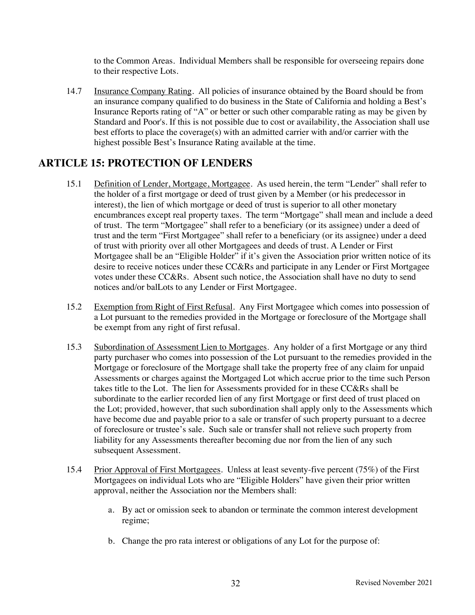to the Common Areas. Individual Members shall be responsible for overseeing repairs done to their respective Lots.

14.7 Insurance Company Rating. All policies of insurance obtained by the Board should be from an insurance company qualified to do business in the State of California and holding a Best's Insurance Reports rating of "A" or better or such other comparable rating as may be given by Standard and Poor's. If this is not possible due to cost or availability, the Association shall use best efforts to place the coverage(s) with an admitted carrier with and/or carrier with the highest possible Best's Insurance Rating available at the time.

# **ARTICLE 15: PROTECTION OF LENDERS**

- 15.1 Definition of Lender, Mortgage, Mortgagee. As used herein, the term "Lender" shall refer to the holder of a first mortgage or deed of trust given by a Member (or his predecessor in interest), the lien of which mortgage or deed of trust is superior to all other monetary encumbrances except real property taxes. The term "Mortgage" shall mean and include a deed of trust. The term "Mortgagee" shall refer to a beneficiary (or its assignee) under a deed of trust and the term "First Mortgagee" shall refer to a beneficiary (or its assignee) under a deed of trust with priority over all other Mortgagees and deeds of trust. A Lender or First Mortgagee shall be an "Eligible Holder" if it's given the Association prior written notice of its desire to receive notices under these CC&Rs and participate in any Lender or First Mortgagee votes under these CC&Rs. Absent such notice, the Association shall have no duty to send notices and/or balLots to any Lender or First Mortgagee.
- 15.2 Exemption from Right of First Refusal. Any First Mortgagee which comes into possession of a Lot pursuant to the remedies provided in the Mortgage or foreclosure of the Mortgage shall be exempt from any right of first refusal.
- 15.3 Subordination of Assessment Lien to Mortgages. Any holder of a first Mortgage or any third party purchaser who comes into possession of the Lot pursuant to the remedies provided in the Mortgage or foreclosure of the Mortgage shall take the property free of any claim for unpaid Assessments or charges against the Mortgaged Lot which accrue prior to the time such Person takes title to the Lot. The lien for Assessments provided for in these CC&Rs shall be subordinate to the earlier recorded lien of any first Mortgage or first deed of trust placed on the Lot; provided, however, that such subordination shall apply only to the Assessments which have become due and payable prior to a sale or transfer of such property pursuant to a decree of foreclosure or trustee's sale. Such sale or transfer shall not relieve such property from liability for any Assessments thereafter becoming due nor from the lien of any such subsequent Assessment.
- 15.4 Prior Approval of First Mortgagees. Unless at least seventy-five percent (75%) of the First Mortgagees on individual Lots who are "Eligible Holders" have given their prior written approval, neither the Association nor the Members shall:
	- a. By act or omission seek to abandon or terminate the common interest development regime;
	- b. Change the pro rata interest or obligations of any Lot for the purpose of: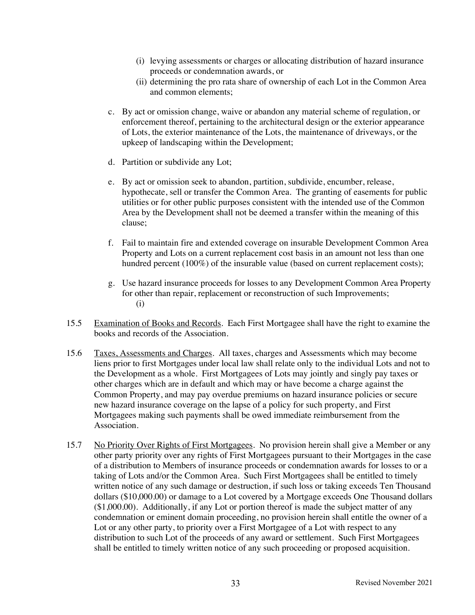- (i) levying assessments or charges or allocating distribution of hazard insurance proceeds or condemnation awards, or
- (ii) determining the pro rata share of ownership of each Lot in the Common Area and common elements;
- c. By act or omission change, waive or abandon any material scheme of regulation, or enforcement thereof, pertaining to the architectural design or the exterior appearance of Lots, the exterior maintenance of the Lots, the maintenance of driveways, or the upkeep of landscaping within the Development;
- d. Partition or subdivide any Lot;
- e. By act or omission seek to abandon, partition, subdivide, encumber, release, hypothecate, sell or transfer the Common Area. The granting of easements for public utilities or for other public purposes consistent with the intended use of the Common Area by the Development shall not be deemed a transfer within the meaning of this clause;
- f. Fail to maintain fire and extended coverage on insurable Development Common Area Property and Lots on a current replacement cost basis in an amount not less than one hundred percent (100%) of the insurable value (based on current replacement costs);
- g. Use hazard insurance proceeds for losses to any Development Common Area Property for other than repair, replacement or reconstruction of such Improvements; (i)
- 15.5 Examination of Books and Records. Each First Mortgagee shall have the right to examine the books and records of the Association.
- 15.6 Taxes, Assessments and Charges. All taxes, charges and Assessments which may become liens prior to first Mortgages under local law shall relate only to the individual Lots and not to the Development as a whole. First Mortgagees of Lots may jointly and singly pay taxes or other charges which are in default and which may or have become a charge against the Common Property, and may pay overdue premiums on hazard insurance policies or secure new hazard insurance coverage on the lapse of a policy for such property, and First Mortgagees making such payments shall be owed immediate reimbursement from the Association.
- 15.7 No Priority Over Rights of First Mortgagees. No provision herein shall give a Member or any other party priority over any rights of First Mortgagees pursuant to their Mortgages in the case of a distribution to Members of insurance proceeds or condemnation awards for losses to or a taking of Lots and/or the Common Area. Such First Mortgagees shall be entitled to timely written notice of any such damage or destruction, if such loss or taking exceeds Ten Thousand dollars (\$10,000.00) or damage to a Lot covered by a Mortgage exceeds One Thousand dollars (\$1,000.00). Additionally, if any Lot or portion thereof is made the subject matter of any condemnation or eminent domain proceeding, no provision herein shall entitle the owner of a Lot or any other party, to priority over a First Mortgagee of a Lot with respect to any distribution to such Lot of the proceeds of any award or settlement. Such First Mortgagees shall be entitled to timely written notice of any such proceeding or proposed acquisition.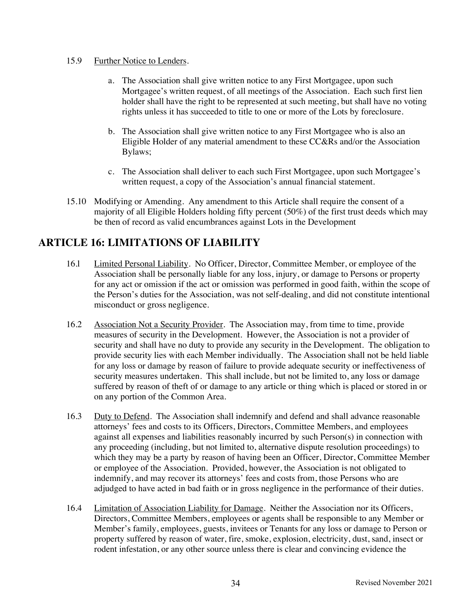#### 15.9 Further Notice to Lenders.

- a. The Association shall give written notice to any First Mortgagee, upon such Mortgagee's written request, of all meetings of the Association. Each such first lien holder shall have the right to be represented at such meeting, but shall have no voting rights unless it has succeeded to title to one or more of the Lots by foreclosure.
- b. The Association shall give written notice to any First Mortgagee who is also an Eligible Holder of any material amendment to these CC&Rs and/or the Association Bylaws;
- c. The Association shall deliver to each such First Mortgagee, upon such Mortgagee's written request, a copy of the Association's annual financial statement.
- 15.10 Modifying or Amending. Any amendment to this Article shall require the consent of a majority of all Eligible Holders holding fifty percent (50%) of the first trust deeds which may be then of record as valid encumbrances against Lots in the Development

# **ARTICLE 16: LIMITATIONS OF LIABILITY**

- 16.l Limited Personal Liability. No Officer, Director, Committee Member, or employee of the Association shall be personally liable for any loss, injury, or damage to Persons or property for any act or omission if the act or omission was performed in good faith, within the scope of the Person's duties for the Association, was not self-dealing, and did not constitute intentional misconduct or gross negligence.
- 16.2 Association Not a Security Provider. The Association may, from time to time, provide measures of security in the Development. However, the Association is not a provider of security and shall have no duty to provide any security in the Development. The obligation to provide security lies with each Member individually. The Association shall not be held liable for any loss or damage by reason of failure to provide adequate security or ineffectiveness of security measures undertaken. This shall include, but not be limited to, any loss or damage suffered by reason of theft of or damage to any article or thing which is placed or stored in or on any portion of the Common Area.
- 16.3 Duty to Defend. The Association shall indemnify and defend and shall advance reasonable attorneys' fees and costs to its Officers, Directors, Committee Members, and employees against all expenses and liabilities reasonably incurred by such Person(s) in connection with any proceeding (including, but not limited to, alternative dispute resolution proceedings) to which they may be a party by reason of having been an Officer, Director, Committee Member or employee of the Association. Provided, however, the Association is not obligated to indemnify, and may recover its attorneys' fees and costs from, those Persons who are adjudged to have acted in bad faith or in gross negligence in the performance of their duties.
- 16.4 Limitation of Association Liability for Damage. Neither the Association nor its Officers, Directors, Committee Members, employees or agents shall be responsible to any Member or Member's family, employees, guests, invitees or Tenants for any loss or damage to Person or property suffered by reason of water, fire, smoke, explosion, electricity, dust, sand, insect or rodent infestation, or any other source unless there is clear and convincing evidence the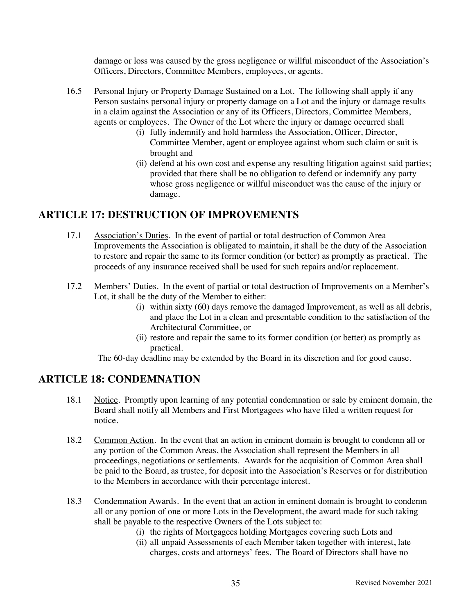damage or loss was caused by the gross negligence or willful misconduct of the Association's Officers, Directors, Committee Members, employees, or agents.

- 16.5 Personal Injury or Property Damage Sustained on a Lot. The following shall apply if any Person sustains personal injury or property damage on a Lot and the injury or damage results in a claim against the Association or any of its Officers, Directors, Committee Members, agents or employees. The Owner of the Lot where the injury or damage occurred shall
	- (i) fully indemnify and hold harmless the Association, Officer, Director, Committee Member, agent or employee against whom such claim or suit is brought and
	- (ii) defend at his own cost and expense any resulting litigation against said parties; provided that there shall be no obligation to defend or indemnify any party whose gross negligence or willful misconduct was the cause of the injury or damage.

# **ARTICLE 17: DESTRUCTION OF IMPROVEMENTS**

- 17.1 Association's Duties. In the event of partial or total destruction of Common Area Improvements the Association is obligated to maintain, it shall be the duty of the Association to restore and repair the same to its former condition (or better) as promptly as practical. The proceeds of any insurance received shall be used for such repairs and/or replacement.
- 17.2 Members' Duties. In the event of partial or total destruction of Improvements on a Member's Lot, it shall be the duty of the Member to either:
	- (i) within sixty (60) days remove the damaged Improvement, as well as all debris, and place the Lot in a clean and presentable condition to the satisfaction of the Architectural Committee, or
	- (ii) restore and repair the same to its former condition (or better) as promptly as practical.

The 60-day deadline may be extended by the Board in its discretion and for good cause.

#### **ARTICLE 18: CONDEMNATION**

- 18.1 Notice. Promptly upon learning of any potential condemnation or sale by eminent domain, the Board shall notify all Members and First Mortgagees who have filed a written request for notice.
- 18.2 Common Action. In the event that an action in eminent domain is brought to condemn all or any portion of the Common Areas, the Association shall represent the Members in all proceedings, negotiations or settlements. Awards for the acquisition of Common Area shall be paid to the Board, as trustee, for deposit into the Association's Reserves or for distribution to the Members in accordance with their percentage interest.
- 18.3 Condemnation Awards. In the event that an action in eminent domain is brought to condemn all or any portion of one or more Lots in the Development, the award made for such taking shall be payable to the respective Owners of the Lots subject to:
	- (i) the rights of Mortgagees holding Mortgages covering such Lots and
	- (ii) all unpaid Assessments of each Member taken together with interest, late charges, costs and attorneys' fees. The Board of Directors shall have no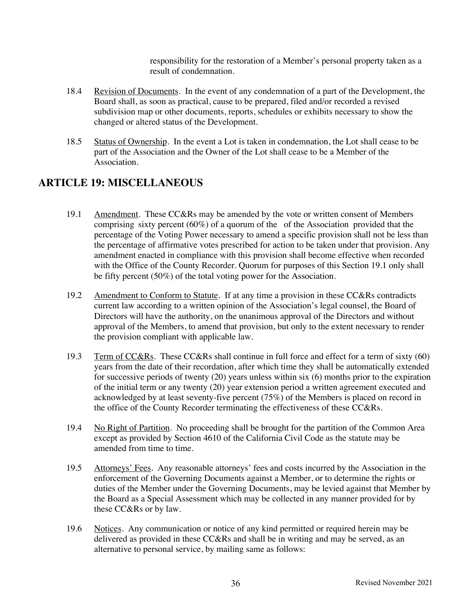responsibility for the restoration of a Member's personal property taken as a result of condemnation.

- 18.4 Revision of Documents. In the event of any condemnation of a part of the Development, the Board shall, as soon as practical, cause to be prepared, filed and/or recorded a revised subdivision map or other documents, reports, schedules or exhibits necessary to show the changed or altered status of the Development.
- 18.5 Status of Ownership. In the event a Lot is taken in condemnation, the Lot shall cease to be part of the Association and the Owner of the Lot shall cease to be a Member of the Association.

# **ARTICLE 19: MISCELLANEOUS**

- 19.1 Amendment. These CC&Rs may be amended by the vote or written consent of Members comprising sixty percent (60%) of a quorum of the of the Association provided that the percentage of the Voting Power necessary to amend a specific provision shall not be less than the percentage of affirmative votes prescribed for action to be taken under that provision. Any amendment enacted in compliance with this provision shall become effective when recorded with the Office of the County Recorder. Quorum for purposes of this Section 19.1 only shall be fifty percent (50%) of the total voting power for the Association.
- 19.2 Amendment to Conform to Statute. If at any time a provision in these CC&Rs contradicts current law according to a written opinion of the Association's legal counsel, the Board of Directors will have the authority, on the unanimous approval of the Directors and without approval of the Members, to amend that provision, but only to the extent necessary to render the provision compliant with applicable law.
- 19.3 Term of CC&Rs. These CC&Rs shall continue in full force and effect for a term of sixty (60) years from the date of their recordation, after which time they shall be automatically extended for successive periods of twenty (20) years unless within six (6) months prior to the expiration of the initial term or any twenty (20) year extension period a written agreement executed and acknowledged by at least seventy-five percent (75%) of the Members is placed on record in the office of the County Recorder terminating the effectiveness of these CC&Rs.
- 19.4 No Right of Partition. No proceeding shall be brought for the partition of the Common Area except as provided by Section 4610 of the California Civil Code as the statute may be amended from time to time.
- 19.5 Attorneys' Fees. Any reasonable attorneys' fees and costs incurred by the Association in the enforcement of the Governing Documents against a Member, or to determine the rights or duties of the Member under the Governing Documents, may be levied against that Member by the Board as a Special Assessment which may be collected in any manner provided for by these CC&Rs or by law.
- 19.6 Notices. Any communication or notice of any kind permitted or required herein may be delivered as provided in these CC&Rs and shall be in writing and may be served, as an alternative to personal service, by mailing same as follows: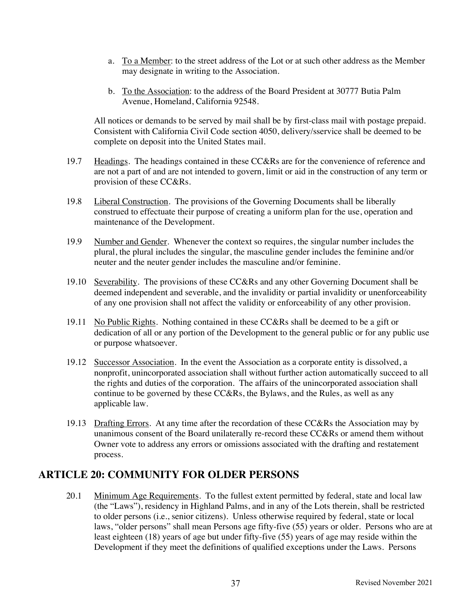- a. To a Member: to the street address of the Lot or at such other address as the Member may designate in writing to the Association.
- b. To the Association: to the address of the Board President at 30777 Butia Palm Avenue, Homeland, California 92548.

All notices or demands to be served by mail shall be by first-class mail with postage prepaid. Consistent with California Civil Code section 4050, delivery/sservice shall be deemed to be complete on deposit into the United States mail.

- 19.7 Headings. The headings contained in these CC&Rs are for the convenience of reference and are not a part of and are not intended to govern, limit or aid in the construction of any term or provision of these CC&Rs.
- 19.8 Liberal Construction. The provisions of the Governing Documents shall be liberally construed to effectuate their purpose of creating a uniform plan for the use, operation and maintenance of the Development.
- 19.9 Number and Gender. Whenever the context so requires, the singular number includes the plural, the plural includes the singular, the masculine gender includes the feminine and/or neuter and the neuter gender includes the masculine and/or feminine.
- 19.10 Severability. The provisions of these CC&Rs and any other Governing Document shall be deemed independent and severable, and the invalidity or partial invalidity or unenforceability of any one provision shall not affect the validity or enforceability of any other provision.
- 19.11 No Public Rights. Nothing contained in these CC&Rs shall be deemed to be a gift or dedication of all or any portion of the Development to the general public or for any public use or purpose whatsoever.
- 19.12 Successor Association. In the event the Association as a corporate entity is dissolved, a nonprofit, unincorporated association shall without further action automatically succeed to all the rights and duties of the corporation. The affairs of the unincorporated association shall continue to be governed by these CC&Rs, the Bylaws, and the Rules, as well as any applicable law.
- 19.13 Drafting Errors. At any time after the recordation of these CC&Rs the Association may by unanimous consent of the Board unilaterally re-record these CC&Rs or amend them without Owner vote to address any errors or omissions associated with the drafting and restatement process.

#### **ARTICLE 20: COMMUNITY FOR OLDER PERSONS**

20.1 Minimum Age Requirements. To the fullest extent permitted by federal, state and local law (the "Laws"), residency in Highland Palms, and in any of the Lots therein, shall be restricted to older persons (i.e., senior citizens). Unless otherwise required by federal, state or local laws, "older persons" shall mean Persons age fifty-five (55) years or older. Persons who are at least eighteen (18) years of age but under fifty-five (55) years of age may reside within the Development if they meet the definitions of qualified exceptions under the Laws. Persons